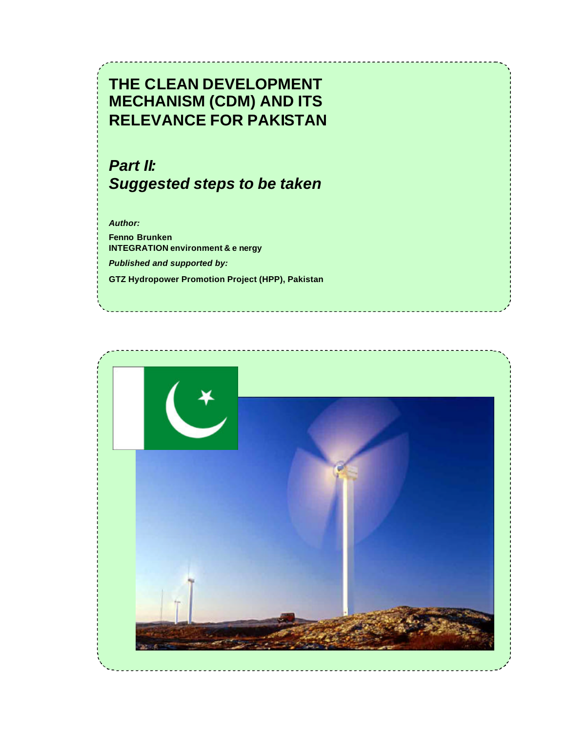# **THE CLEAN DEVELOPMENT MECHANISM (CDM) AND ITS RELEVANCE FOR PAKISTAN**

# *Part II: Suggested steps to be taken*

*Author:*

**Fenno Brunken INTEGRATION environment & e nergy** *Published and supported by:* **GTZ Hydropower Promotion Project (HPP), Pakistan**

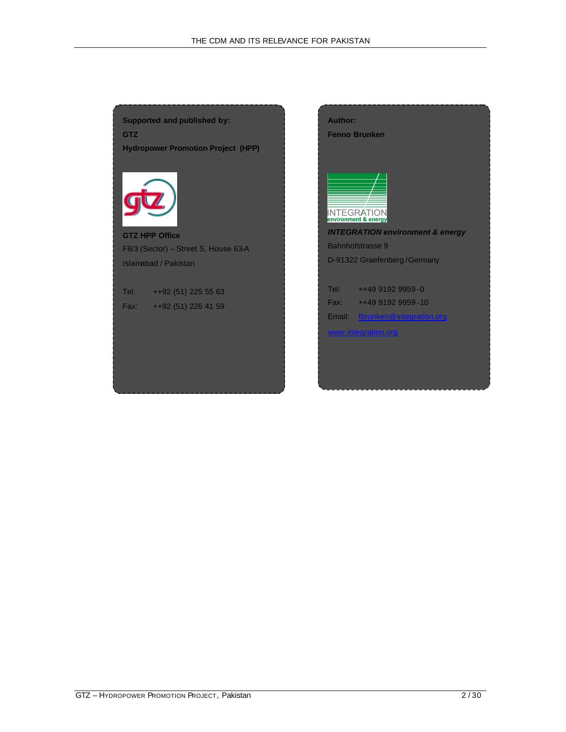|            | <b>Supported and published by:</b>        |  |
|------------|-------------------------------------------|--|
| <b>GTZ</b> |                                           |  |
|            | <b>Hydropower Promotion Project (HPP)</b> |  |
|            |                                           |  |
|            | <b>GTZ HPP Office</b>                     |  |
|            | F8/3 (Sector) - Street 5, House 63-A      |  |
|            | Islamabad / Pakistan                      |  |
|            | Tel: ++92 (51) 225 55 63                  |  |
|            | Fax: ++92 (51) 226 41 59                  |  |
|            |                                           |  |
|            |                                           |  |
|            |                                           |  |

| Author:              |                                                                     |  |
|----------------------|---------------------------------------------------------------------|--|
| <b>Fenno Brunken</b> |                                                                     |  |
|                      |                                                                     |  |
|                      |                                                                     |  |
|                      |                                                                     |  |
|                      |                                                                     |  |
|                      | <b>INTEGRATION</b>                                                  |  |
|                      | environment & energy<br><b>INTEGRATION environment &amp; energy</b> |  |
|                      | Bahnhofstrasse 9                                                    |  |
|                      | D-91322 Graefenberg/Germany                                         |  |
|                      |                                                                     |  |
| Tel:                 | ++49 9192 9959 -0                                                   |  |
| Fax:                 | ++49 9192 9959 -10                                                  |  |
|                      | Email forunken@integration.org                                      |  |
|                      | www.integration.org                                                 |  |
|                      |                                                                     |  |
|                      |                                                                     |  |
|                      |                                                                     |  |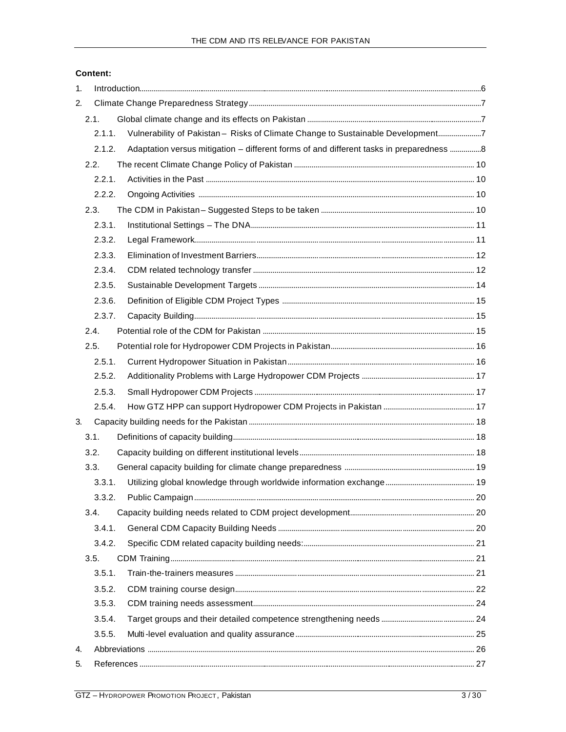### Content:

| 1. |        |                                                                                          |    |  |  |  |
|----|--------|------------------------------------------------------------------------------------------|----|--|--|--|
| 2. |        |                                                                                          |    |  |  |  |
|    | 2.1.   |                                                                                          |    |  |  |  |
|    | 2.1.1. | Vulnerability of Pakistan - Risks of Climate Change to Sustainable Development7          |    |  |  |  |
|    | 2.1.2. | Adaptation versus mitigation - different forms of and different tasks in preparedness  8 |    |  |  |  |
|    | 2.2.   |                                                                                          |    |  |  |  |
|    | 2.2.1. |                                                                                          |    |  |  |  |
|    | 2.2.2. |                                                                                          |    |  |  |  |
|    | 2.3.   |                                                                                          |    |  |  |  |
|    | 2.3.1. |                                                                                          |    |  |  |  |
|    | 2.3.2. |                                                                                          |    |  |  |  |
|    | 2.3.3. |                                                                                          |    |  |  |  |
|    | 2.3.4. |                                                                                          |    |  |  |  |
|    | 2.3.5. |                                                                                          |    |  |  |  |
|    | 2.3.6. |                                                                                          |    |  |  |  |
|    | 2.3.7. |                                                                                          |    |  |  |  |
|    | 2.4.   |                                                                                          |    |  |  |  |
|    | 2.5.   |                                                                                          |    |  |  |  |
|    | 2.5.1. |                                                                                          |    |  |  |  |
|    | 2.5.2. |                                                                                          |    |  |  |  |
|    | 2.5.3. |                                                                                          |    |  |  |  |
|    | 2.5.4. |                                                                                          |    |  |  |  |
| 3. |        |                                                                                          |    |  |  |  |
|    | 3.1.   |                                                                                          |    |  |  |  |
|    | 3.2.   |                                                                                          |    |  |  |  |
|    | 3.3.   |                                                                                          |    |  |  |  |
|    | 3.3.1. |                                                                                          |    |  |  |  |
|    | 3.3.2. |                                                                                          | 20 |  |  |  |
|    | 3.4.   |                                                                                          |    |  |  |  |
|    | 3.4.1. |                                                                                          |    |  |  |  |
|    | 3.4.2. |                                                                                          |    |  |  |  |
|    | 3.5.   |                                                                                          |    |  |  |  |
|    | 3.5.1. |                                                                                          |    |  |  |  |
|    | 3.5.2. |                                                                                          |    |  |  |  |
|    | 3.5.3. |                                                                                          |    |  |  |  |
|    | 3.5.4. |                                                                                          |    |  |  |  |
|    | 3.5.5. |                                                                                          |    |  |  |  |
| 4. |        |                                                                                          |    |  |  |  |
| 5. |        |                                                                                          |    |  |  |  |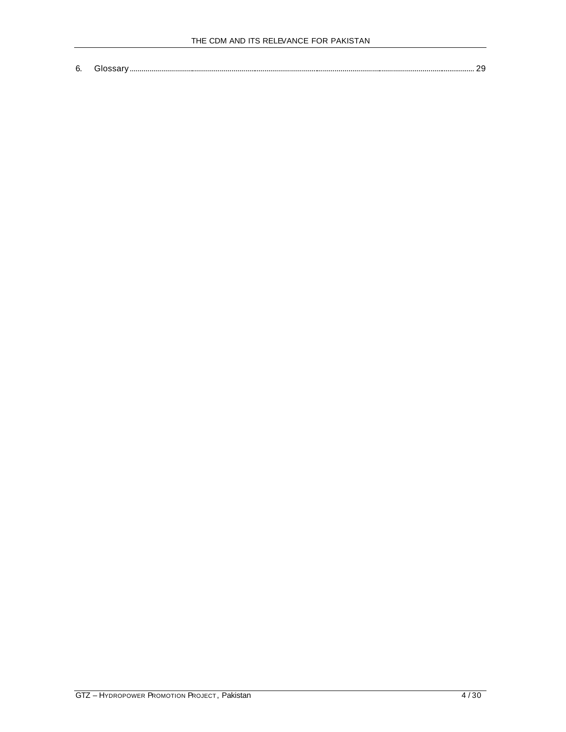### 6. Glossary................................................................................................................................................................................. 29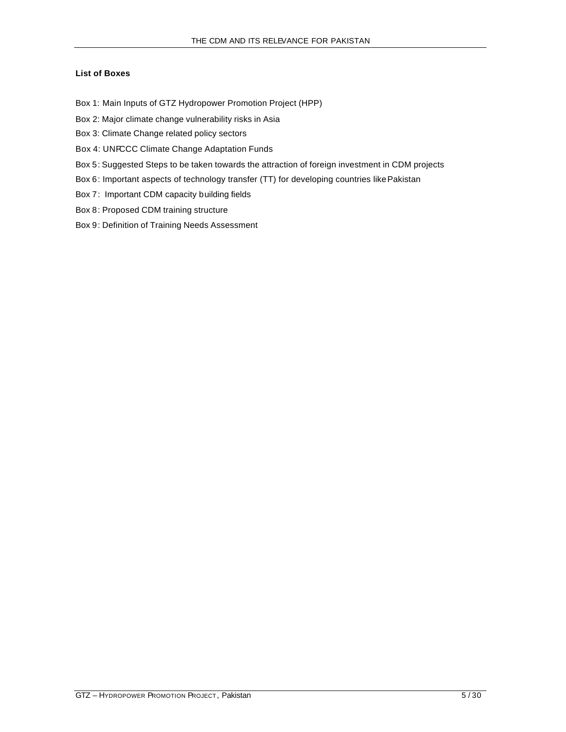#### **List of Boxes**

- Box 1: Main Inputs of GTZ Hydropower Promotion Project (HPP)
- Box 2: Major climate change vulnerability risks in Asia
- Box 3: Climate Change related policy sectors
- Box 4: UNFCCC Climate Change Adaptation Funds
- Box 5: Suggested Steps to be taken towards the attraction of foreign investment in CDM projects
- Box 6: Important aspects of technology transfer (TT) for developing countries like Pakistan
- Box 7: Important CDM capacity building fields
- Box 8: Proposed CDM training structure
- Box 9: Definition of Training Needs Assessment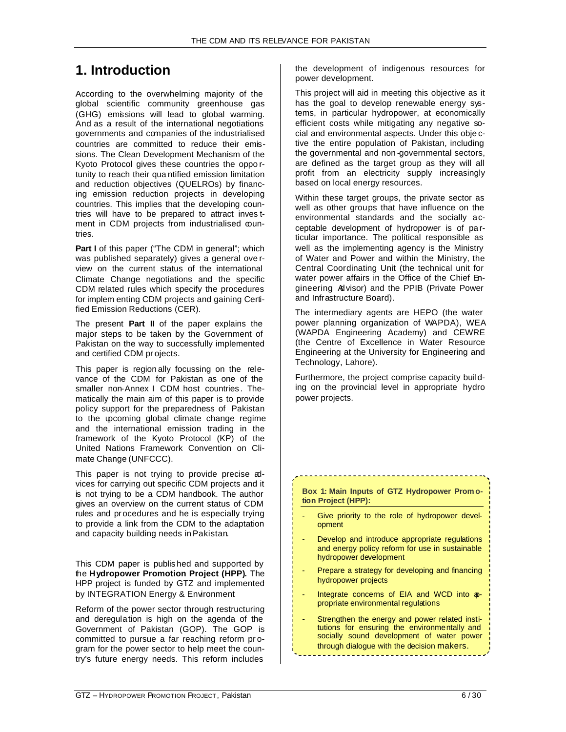# **1. Introduction**

According to the overwhelming majority of the global scientific community greenhouse gas (GHG) emissions will lead to global warming. And as a result of the international negotiations governments and companies of the industrialised countries are committed to reduce their emissions. The Clean Development Mechanism of the Kyoto Protocol gives these countries the oppo rtunity to reach their qua ntified emission limitation and reduction objectives (QUELROs) by financing emission reduction projects in developing countries. This implies that the developing countries will have to be prepared to attract inves tment in CDM projects from industrialised countries.

**Part I** of this paper ("The CDM in general"; which was published separately) gives a general ove rview on the current status of the international Climate Change negotiations and the specific CDM related rules which specify the procedures for implem enting CDM projects and gaining Certified Emission Reductions (CER).

The present **Part II** of the paper explains the major steps to be taken by the Government of Pakistan on the way to successfully implemented and certified CDM pr ojects.

This paper is region ally focussing on the relevance of the CDM for Pakistan as one of the smaller non-Annex I CDM host countries . Thematically the main aim of this paper is to provide policy support for the preparedness of Pakistan to the upcoming global climate change regime and the international emission trading in the framework of the Kyoto Protocol (KP) of the United Nations Framework Convention on Climate Change (UNFCCC).

This paper is not trying to provide precise advices for carrying out specific CDM projects and it is not trying to be a CDM handbook. The author gives an overview on the current status of CDM rules and pr ocedures and he is especially trying to provide a link from the CDM to the adaptation and capacity building needs in Pakistan.

This CDM paper is publis hed and supported by the **Hydropower Promotion Project (HPP).** The HPP project is funded by GTZ and implemented by INTEGRATION Energy & Environment

Reform of the power sector through restructuring and deregulation is high on the agenda of the Government of Pakistan (GOP). The GOP is committed to pursue a far reaching reform pr ogram for the power sector to help meet the country's future energy needs. This reform includes

the development of indigenous resources for power development.

This project will aid in meeting this objective as it has the goal to develop renewable energy systems, in particular hydropower, at economically efficient costs while mitigating any negative social and environmental aspects. Under this obje ctive the entire population of Pakistan, including the governmental and non -governmental sectors, are defined as the target group as they will all profit from an electricity supply increasingly based on local energy resources.

Within these target groups, the private sector as well as other groups that have influence on the environmental standards and the socially acceptable development of hydropower is of pa rticular importance. The political responsible as well as the implementing agency is the Ministry of Water and Power and within the Ministry, the Central Coordinating Unit (the technical unit for water power affairs in the Office of the Chief Engineering Advisor) and the PPIB (Private Power and Infrastructure Board).

The intermediary agents are HEPO (the water power planning organization of WAPDA), WEA (WAPDA Engineering Academy) and CEWRE (the Centre of Excellence in Water Resource Engineering at the University for Engineering and Technology, Lahore).

Furthermore, the project comprise capacity building on the provincial level in appropriate hydro power projects.

#### **Box 1: Main Inputs of GTZ Hydropower Prom otion Project (HPP):**

- Give priority to the role of hydropower development
- Develop and introduce appropriate regulations and energy policy reform for use in sustainable hydropower development
- Prepare a strategy for developing and financing hydropower projects
- Integrate concerns of EIA and WCD into  $ap$ propriate environmental regulations
- Strengthen the energy and power related institutions for ensuring the environmentally and socially sound development of water power through dialogue with the decision makers.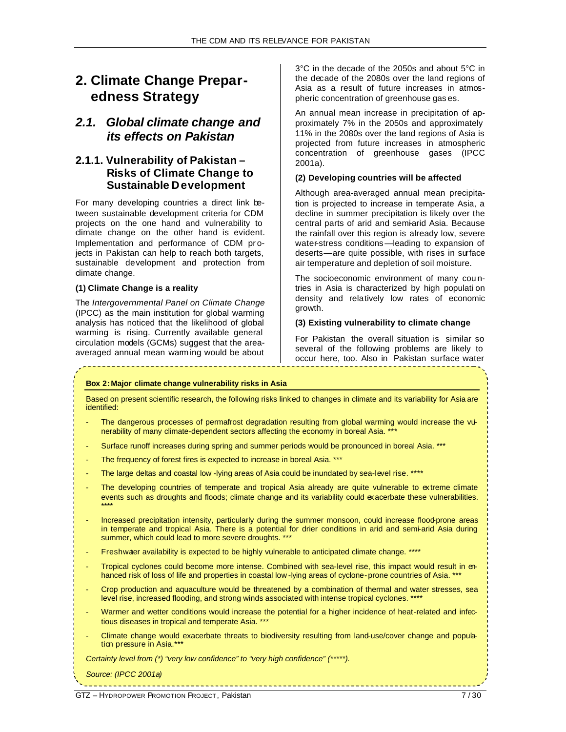# **2. Climate Change Preparedness Strategy**

### *2.1. Global climate change and its effects on Pakistan*

### **2.1.1. Vulnerability of Pakistan – Risks of Climate Change to Sustainable Development**

For many developing countries a direct link between sustainable development criteria for CDM projects on the one hand and vulnerability to climate change on the other hand is evident. Implementation and performance of CDM pr ojects in Pakistan can help to reach both targets, sustainable development and protection from climate change.

#### **(1) Climate Change is a reality**

The *Intergovernmental Panel on Climate Change*  (IPCC) as the main institution for global warming analysis has noticed that the likelihood of global warming is rising. Currently available general circulation models (GCMs) suggest that the areaaveraged annual mean warm ing would be about

3°C in the decade of the 2050s and about 5°C in the decade of the 2080s over the land regions of Asia as a result of future increases in atmospheric concentration of greenhouse gas es.

An annual mean increase in precipitation of approximately 7% in the 2050s and approximately 11% in the 2080s over the land regions of Asia is projected from future increases in atmospheric concentration of greenhouse gases (IPCC 2001a).

#### **(2) Developing countries will be affected**

Although area-averaged annual mean precipitation is projected to increase in temperate Asia, a decline in summer precipitation is likely over the central parts of arid and semiarid Asia. Because the rainfall over this region is already low, severe water-stress conditions—leading to expansion of deserts—are quite possible, with rises in surface air temperature and depletion of soil moisture.

The socioeconomic environment of many cou ntries in Asia is characterized by high populati on density and relatively low rates of economic growth.

#### **(3) Existing vulnerability to climate change**

For Pakistan the overall situation is similar so several of the following problems are likely to occur here, too. Also in Pakistan surface water

#### **Box 2: Major climate change vulnerability risks in Asia**

Based on present scientific research, the following risks linked to changes in climate and its variability for Asia are identified:

- The dangerous processes of permafrost degradation resulting from global warming would increase the vulnerability of many climate-dependent sectors affecting the economy in boreal Asia. \*\*\*
- Surface runoff increases during spring and summer periods would be pronounced in boreal Asia. \*\*\*
- The frequency of forest fires is expected to increase in boreal Asia. \*\*\*
- The large deltas and coastal low -lying areas of Asia could be inundated by sea-level rise. \*\*\*\*
- The developing countries of temperate and tropical Asia already are quite vulnerable to extreme climate events such as droughts and floods; climate change and its variability could exacerbate these vulnerabilities. \*\*\*\*
- Increased precipitation intensity, particularly during the summer monsoon, could increase flood-prone areas in temperate and tropical Asia. There is a potential for drier conditions in arid and semi-arid Asia during summer, which could lead to more severe droughts. \*\*\*
- Freshwater availability is expected to be highly vulnerable to anticipated climate change. \*\*\*\*

- Tropical cyclones could become more intense. Combined with sea-level rise, this impact would result in enhanced risk of loss of life and properties in coastal low -lying areas of cyclone-prone countries of Asia. \*\*\*
- Crop production and aquaculture would be threatened by a combination of thermal and water stresses, sea level rise, increased flooding, and strong winds associated with intense tropical cyclones. \*\*\*\*
- Warmer and wetter conditions would increase the potential for a higher incidence of heat-related and infectious diseases in tropical and temperate Asia. \*\*\*
- Climate change would exacerbate threats to biodiversity resulting from land-use/cover change and population pressure in Asia.\*\*\*

*Certainty level from (\*) "very low confidence" to "very high confidence" (\*\*\*\*\*).*

*Source: (IPCC 2001a)*

GTZ – HYDROPOWER PROMOTION PROJECT, Pakistan 7 / 30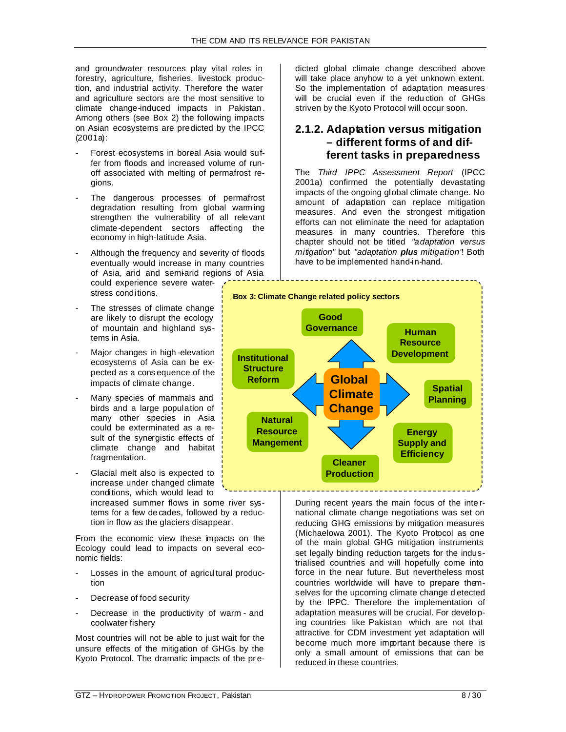and groundwater resources play vital roles in forestry, agriculture, fisheries, livestock production, and industrial activity. Therefore the water and agriculture sectors are the most sensitive to climate change-induced impacts in Pakistan . Among others (see Box 2) the following impacts on Asian ecosystems are predicted by the IPCC (2001a):

- Forest ecosystems in boreal Asia would suffer from floods and increased volume of runoff associated with melting of permafrost regions.
- The dangerous processes of permafrost degradation resulting from global warming strengthen the vulnerability of all relevant climate -dependent sectors affecting the economy in high-latitude Asia.
- Although the frequency and severity of floods eventually would increase in many countries of Asia, arid and semiarid regions of Asia could experience severe waterstress conditions.
- The stresses of climate change are likely to disrupt the ecology of mountain and highland systems in Asia.
- Major changes in high-elevation ecosystems of Asia can be expected as a cons equence of the impacts of climate change.
- Many species of mammals and birds and a large population of many other species in Asia could be exterminated as a result of the synergistic effects of climate change and habitat fragmentation.
- Glacial melt also is expected to increase under changed climate conditions, which would lead to increased summer flows in some river systems for a few de cades, followed by a reduction in flow as the glaciers disappear.

From the economic view these impacts on the Ecology could lead to impacts on several economic fields:

- Losses in the amount of agricultural production
- Decrease of food security
- Decrease in the productivity of warm and coolwater fishery

Most countries will not be able to just wait for the unsure effects of the mitigation of GHGs by the Kyoto Protocol. The dramatic impacts of the pr edicted global climate change described above will take place anyhow to a yet unknown extent. So the implementation of adaptation measures will be crucial even if the reduction of GHGs striven by the Kyoto Protocol will occur soon.

### **2.1.2. Adaptation versus mitigation – different forms of and different tasks in preparedness**

The *Third IPPC Assessment Report* (IPCC 2001a) confirmed the potentially devastating impacts of the ongoing global climate change. No amount of adaptation can replace mitigation measures. And even the strongest mitigation efforts can not eliminate the need for adaptation measures in many countries. Therefore this chapter should not be titled *"adaptation versus mitigation"* but *"adaptation plus mitigation"*! Both have to be implemented hand-in-hand.



During recent years the main focus of the inte rnational climate change negotiations was set on reducing GHG emissions by mitigation measures (Michaelowa 2001). The Kyoto Protocol as one of the main global GHG mitigation instruments set legally binding reduction targets for the industrialised countries and will hopefully come into force in the near future. But nevertheless most countries worldwide will have to prepare themselves for the upcoming climate change d etected by the IPPC. Therefore the implementation of adaptation measures will be crucial. For develo ping countries like Pakistan which are not that attractive for CDM investment yet adaptation will become much more important because there is only a small amount of emissions that can be reduced in these countries.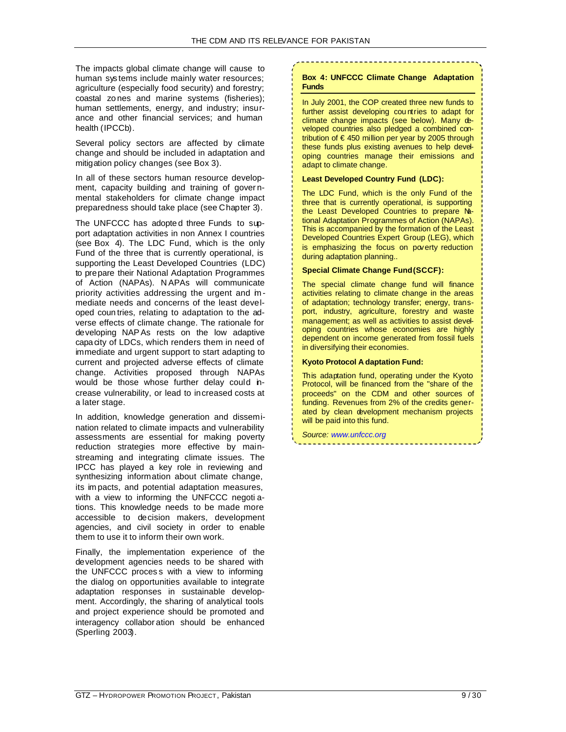The impacts global climate change will cause to human systems include mainly water resources: agriculture (especially food security) and forestry; coastal zo nes and marine systems (fisheries); human settlements, energy, and industry; insurance and other financial services; and human health (IPCCb).

Several policy sectors are affected by climate change and should be included in adaptation and mitigation policy changes (see Box 3).

In all of these sectors human resource development, capacity building and training of gover nmental stakeholders for climate change impact preparedness should take place (see Chapter 3).

The UNFCCC has adopte d three Funds to support adaptation activities in non Annex I countries (see Box 4). The LDC Fund, which is the only Fund of the three that is currently operational, is supporting the Least Developed Countries (LDC) to prepare their National Adaptation Programmes of Action (NAPAs). N APAs will communicate priority activities addressing the urgent and im mediate needs and concerns of the least developed coun tries, relating to adaptation to the adverse effects of climate change. The rationale for developing NAPAs rests on the low adaptive capacity of LDCs, which renders them in need of immediate and urgent support to start adapting to current and projected adverse effects of climate change. Activities proposed through NAPAs would be those whose further delay could increase vulnerability, or lead to increased costs at a later stage.

In addition, knowledge generation and dissemination related to climate impacts and vulnerability assessments are essential for making poverty reduction strategies more effective by mainstreaming and integrating climate issues. The IPCC has played a key role in reviewing and synthesizing information about climate change, its im pacts, and potential adaptation measures, with a view to informing the UNFCCC negoti ations. This knowledge needs to be made more accessible to decision makers, development agencies, and civil society in order to enable them to use it to inform their own work.

Finally, the implementation experience of the development agencies needs to be shared with the UNFCCC proces s with a view to informing the dialog on opportunities available to integrate adaptation responses in sustainable development. Accordingly, the sharing of analytical tools and project experience should be promoted and interagency collabor ation should be enhanced (Sperling 2003).

#### **Box 4: UNFCCC Climate Change Adaptation Funds**

In July 2001, the COP created three new funds to further assist developing cou ntries to adapt for climate change impacts (see below). Many developed countries also pledged a combined contribution of € 450 million per year by 2005 through these funds plus existing avenues to help developing countries manage their emissions and adapt to climate change.

#### **Least Developed Country Fund (LDC):**

The LDC Fund, which is the only Fund of the three that is currently operational, is supporting the Least Developed Countries to prepare National Adaptation Programmes of Action (NAPAs). This is accompanied by the formation of the Least Developed Countries Expert Group (LEG), which is emphasizing the focus on poverty reduction during adaptation planning..

#### **Special Climate Change Fund (SCCF):**

The special climate change fund will finance activities relating to climate change in the areas of adaptation; technology transfer; energy, transport, industry, agriculture, forestry and waste management; as well as activities to assist developing countries whose economies are highly dependent on income generated from fossil fuels in diversifying their economies.

#### **Kyoto Protocol A daptation Fund:**

This adaptation fund, operating under the Kyoto Protocol, will be financed from the "share of the proceeds" on the CDM and other sources of funding. Revenues from 2% of the credits generated by clean development mechanism projects will be paid into this fund.

*Source: www.unfccc.org*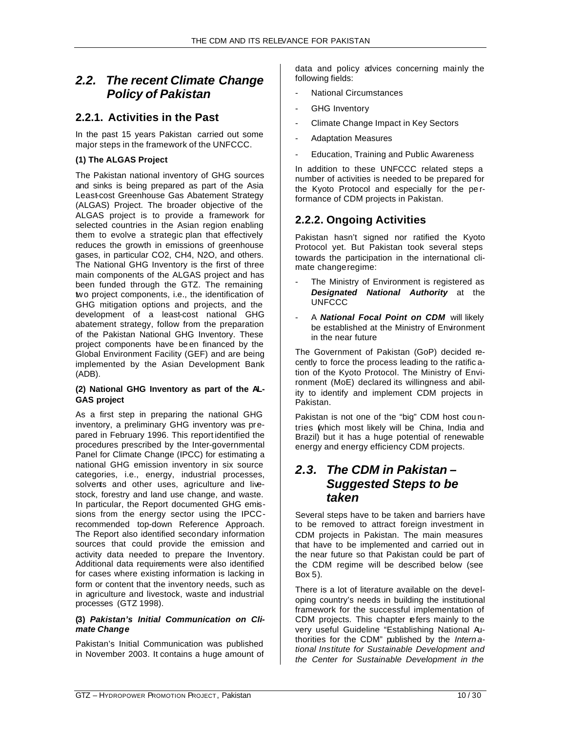### *2.2. The recent Climate Change Policy of Pakistan*

### **2.2.1. Activities in the Past**

In the past 15 years Pakistan carried out some major steps in the framework of the UNFCCC.

### **(1) The ALGAS Project**

The Pakistan national inventory of GHG sources and sinks is being prepared as part of the Asia Least-cost Greenhouse Gas Abatement Strategy (ALGAS) Project. The broader objective of the ALGAS project is to provide a framework for selected countries in the Asian region enabling them to evolve a strategic plan that effectively reduces the growth in emissions of greenhouse gases, in particular CO2, CH4, N2O, and others. The National GHG Inventory is the first of three main components of the ALGAS project and has been funded through the GTZ. The remaining two project components, i.e., the identification of GHG mitigation options and projects, and the development of a least-cost national GHG abatement strategy, follow from the preparation of the Pakistan National GHG Inventory. These project components have be en financed by the Global Environment Facility (GEF) and are being implemented by the Asian Development Bank (ADB).

#### **(2) National GHG Inventory as part of the AL-GAS project**

As a first step in preparing the national GHG inventory, a preliminary GHG inventory was prepared in February 1996. This report identified the procedures prescribed by the Inter-governmental Panel for Climate Change (IPCC) for estimating a national GHG emission inventory in six source categories, i.e., energy, industrial processes, solvents and other uses, agriculture and livestock, forestry and land use change, and waste. In particular, the Report documented GHG emissions from the energy sector using the IPCCrecommended top-down Reference Approach. The Report also identified secondary information sources that could provide the emission and activity data needed to prepare the Inventory. Additional data requirements were also identified for cases where existing information is lacking in form or content that the inventory needs, such as in agriculture and livestock, waste and industrial processes (GTZ 1998).

#### **(3)** *Pakistan's Initial Communication on Climate Change*

Pakistan's Initial Communication was published in November 2003. It contains a huge amount of

data and policy advices concerning mainly the following fields:

- **National Circumstances**
- **GHG Inventory**
- Climate Change Impact in Key Sectors
- Adaptation Measures
- Education, Training and Public Awareness

In addition to these UNFCCC related steps a number of activities is needed to be prepared for the Kyoto Protocol and especially for the pe rformance of CDM projects in Pakistan.

### **2.2.2. Ongoing Activities**

Pakistan hasn't signed nor ratified the Kyoto Protocol yet. But Pakistan took several steps towards the participation in the international climate change regime:

- The Ministry of Environment is registered as *Designated National Authority* at the **UNFCCC**
- A *National Focal Point on CDM* will likely be established at the Ministry of Environment in the near future

The Government of Pakistan (GoP) decided recently to force the process leading to the ratific ation of the Kyoto Protocol. The Ministry of Environment (MoE) declared its willingness and ability to identify and implement CDM projects in Pakistan.

Pakistan is not one of the "big" CDM host cou ntries (which most likely will be China, India and Brazil) but it has a huge potential of renewable energy and energy efficiency CDM projects.

### *2.3. The CDM in Pakistan – Suggested Steps to be taken*

Several steps have to be taken and barriers have to be removed to attract foreign investment in CDM projects in Pakistan. The main measures that have to be implemented and carried out in the near future so that Pakistan could be part of the CDM regime will be described below (see Box 5).

There is a lot of literature available on the developing country's needs in building the institutional framework for the successful implementation of CDM projects. This chapter refers mainly to the very useful Guideline "Establishing National Authorities for the CDM" published by the *Intern ational Institute for Sustainable Development and the Center for Sustainable Development in the*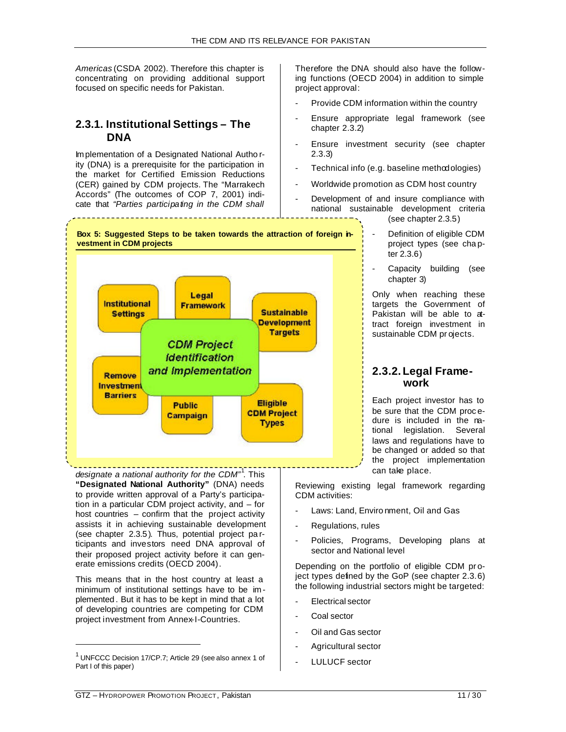*Americas* (CSDA 2002). Therefore this chapter is concentrating on providing additional support focused on specific needs for Pakistan.

### **2.3.1. Institutional Settings – The DNA**

Im plementation of a Designated National Autho rity (DNA) is a prerequisite for the participation in the market for Certified Emission Reductions (CER) gained by CDM projects. The "Marrakech Accords" (The outcomes of COP 7, 2001) indicate that *"Parties participating in the CDM shall* 

**Box 5: Suggested Steps to be taken towards the attraction of foreign investment in CDM projects**Legal **Institutional Framework Sustainable Settings Development Targets CDM Project Identification** and Implementation **Remove Investment Barriers Eligible Public CDM Project** Campaign **Types** 

Therefore the DNA should also have the following functions (OECD 2004) in addition to simple project approval:

- Provide CDM information within the country
- Ensure appropriate legal framework (see chapter 2.3.2)
- Ensure investment security (see chapter 2.3.3)
- Technical info (e.g. baseline methodologies)
- Worldwide promotion as CDM host country
- Development of and insure compliance with national sustainable development criteria
	- (see chapter 2.3.5)
	- Definition of eligible CDM project types (see cha pter 2.3.6)
	- Capacity building (see chapter 3)

Only when reaching these targets the Government of Pakistan will be able to attract foreign investment in sustainable CDM pr ojects.

### **2.3.2.Legal Framework**

Each project investor has to be sure that the CDM proc edure is included in the national legislation. Several laws and regulations have to be changed or added so that the project implementation can take place.

Reviewing existing legal framework regarding CDM activities:

- Laws: Land, Enviro nment, Oil and Gas
- Regulations, rules
- Policies, Programs, Developing plans at sector and National level

Depending on the portfolio of eligible CDM pr oject types defined by the GoP (see chapter 2.3.6) the following industrial sectors might be targeted:

- Electrical sector
- Coal sector
- Oil and Gas sector
- Agricultural sector
- LULUCF sector

*designate a national authority for the CDM"*<sup>1</sup> . This **"Designated National Authority"** (DNA) needs to provide written approval of a Party's participation in a particular CDM project activity, and – for host countries – confirm that the project activity assists it in achieving sustainable development (see chapter 2.3.5 ). Thus, potential project pa rticipants and investors need DNA approval of their proposed project activity before it can generate emissions credits (OECD 2004).

This means that in the host country at least a minimum of institutional settings have to be im plemented . But it has to be kept in mind that a lot of developing countries are competing for CDM project investment from Annex-I-Countries.

 $<sup>1</sup>$  UNFCCC Decision 17/CP.7; Article 29 (see also annex 1 of</sup> Part I of this paper)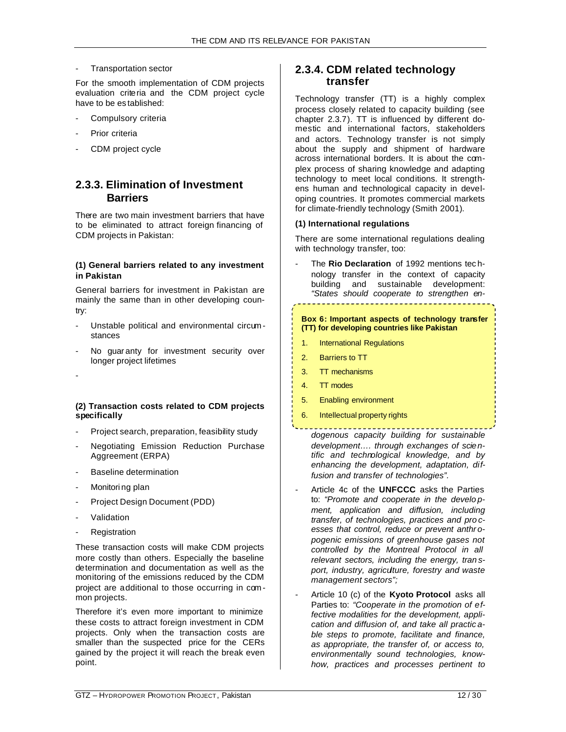- Transportation sector

For the smooth implementation of CDM projects evaluation criteria and the CDM project cycle have to be es tablished:

- Compulsory criteria
- Prior criteria
- CDM project cycle

### **2.3.3. Elimination of Investment Barriers**

There are two main investment barriers that have to be eliminated to attract foreign financing of CDM projects in Pakistan:

#### **(1) General barriers related to any investment in Pakistan**

General barriers for investment in Pakistan are mainly the same than in other developing country:

- Unstable political and environmental circum stances
- No guar anty for investment security over longer project lifetimes
- -

#### **(2) Transaction costs related to CDM projects specifically**

- Project search, preparation, feasibility study
- Negotiating Emission Reduction Purchase Aggreement (ERPA)
- Baseline determination
- Monitori ng plan
- Project Design Document (PDD)
- **Validation**
- **Registration**

These transaction costs will make CDM projects more costly than others. Especially the baseline determination and documentation as well as the monitoring of the emissions reduced by the CDM project are additional to those occurring in com mon projects.

Therefore it's even more important to minimize these costs to attract foreign investment in CDM projects. Only when the transaction costs are smaller than the suspected price for the CERs gained by the project it will reach the break even point.

### **2.3.4. CDM related technology transfer**

Technology transfer (TT) is a highly complex process closely related to capacity building (see chapter 2.3.7). TT is influenced by different domestic and international factors, stakeholders and actors. Technology transfer is not simply about the supply and shipment of hardware across international borders. It is about the complex process of sharing knowledge and adapting technology to meet local conditions. It strengthens human and technological capacity in developing countries. It promotes commercial markets for climate-friendly technology (Smith 2001).

#### **(1) International regulations**

There are some international regulations dealing with technology transfer, too:

- The **Rio Declaration** of 1992 mentions tec hnology transfer in the context of capacity building and sustainable development: *"States should cooperate to strengthen en-*

#### **Box 6: Important aspects of technology transfer (TT) for developing countries like Pakistan**

- 1. International Regulations
- 2. Barriers to TT
- 3. TT mechanisms
- 4. TT modes
- 5. Enabling environment
- 6. Intellectual property rights
- *dogenous capacity building for sustainable development…. through exchanges of scientific and technological knowledge, and by enhancing the development, adaptation, diffusion and transfer of technologies".*
- Article 4c of the **UNFCCC** asks the Parties to: *"Promote and cooperate in the develo pment, application and diffusion, including transfer, of technologies, practices and pro cesses that control, reduce or prevent anthr opogenic emissions of greenhouse gases not controlled by the Montreal Protocol in all relevant sectors, including the energy, tran sport, industry, agriculture, forestry and waste management sectors";*
- Article 10 (c) of the **Kyoto Protocol** asks all Parties to: *"Cooperate in the promotion of effective modalities for the development, application and diffusion of, and take all practic able steps to promote, facilitate and finance, as appropriate, the transfer of, or access to, environmentally sound technologies, knowhow, practices and processes pertinent to*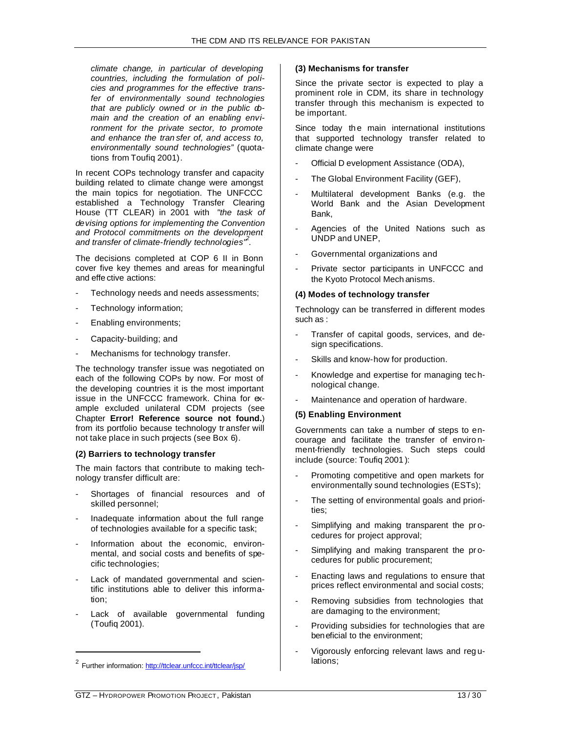*climate change, in particular of developing countries, including the formulation of policies and programmes for the effective transfer of environmentally sound technologies that are publicly owned or in the public domain and the creation of an enabling environment for the private sector, to promote and enhance the tran sfer of, and access to, environmentally sound technologies"* (quotations from Toufiq 2001).

In recent COPs technology transfer and capacity building related to climate change were amongst the main topics for negotiation. The UNFCCC established a Technology Transfer Clearing House (TT CLEAR) in 2001 with *"the task of devising options for implementing the Convention and Protocol commitments on the development and transfer of climate-friendly technologies"<sup>2</sup>* .

The decisions completed at COP 6 II in Bonn cover five key themes and areas for meaningful and effe ctive actions:

- Technology needs and needs assessments;
- Technology information;
- Enabling environments;
- Capacity-building; and
- Mechanisms for technology transfer.

The technology transfer issue was negotiated on each of the following COPs by now. For most of the developing countries it is the most important issue in the UNFCCC framework. China for example excluded unilateral CDM projects (see Chapter **Error! Reference source not found.**) from its portfolio because technology tr ansfer will not take place in such projects (see Box 6).

#### **(2) Barriers to technology transfer**

The main factors that contribute to making technology transfer difficult are:

- Shortages of financial resources and of skilled personnel;
- Inadequate information about the full range of technologies available for a specific task;
- Information about the economic, environmental, and social costs and benefits of specific technologies;
- Lack of mandated governmental and scientific institutions able to deliver this information;
- Lack of available governmental funding (Toufiq 2001).

l

#### **(3) Mechanisms for transfer**

Since the private sector is expected to play a prominent role in CDM, its share in technology transfer through this mechanism is expected to be important.

Since today the main international institutions that supported technology transfer related to climate change were

- Official D evelopment Assistance (ODA),
- The Global Environment Facility (GEF),
- Multilateral development Banks (e.g. the World Bank and the Asian Development Bank,
- Agencies of the United Nations such as UNDP and UNEP,
- Governmental organizations and
- Private sector participants in UNFCCC and the Kyoto Protocol Mech anisms.

#### **(4) Modes of technology transfer**

Technology can be transferred in different modes such as :

- Transfer of capital goods, services, and design specifications.
- Skills and know-how for production.
- Knowledge and expertise for managing tec hnological change.
- Maintenance and operation of hardware.

#### **(5) Enabling Environment**

Governments can take a number of steps to encourage and facilitate the transfer of enviro nment-friendly technologies. Such steps could include (source: Toufiq 2001 ):

- Promoting competitive and open markets for environmentally sound technologies (ESTs);
- The setting of environmental goals and priorities;
- Simplifying and making transparent the procedures for project approval;
- Simplifying and making transparent the procedures for public procurement;
- Enacting laws and regulations to ensure that prices reflect environmental and social costs;
- Removing subsidies from technologies that are damaging to the environment;
- Providing subsidies for technologies that are ben eficial to the environment;
- Vigorously enforcing relevant laws and regulations;

<sup>&</sup>lt;sup>2</sup> Further information: http://ttclear.unfccc.int/ttclear/jsp/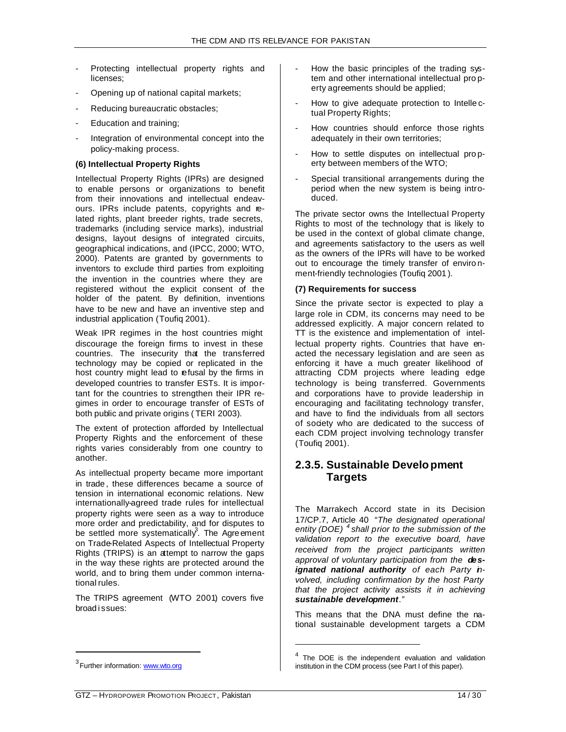- Protecting intellectual property rights and licenses;
- Opening up of national capital markets;
- Reducing bureaucratic obstacles;
- Education and training;
- Integration of environmental concept into the policy-making process.

#### **(6) Intellectual Property Rights**

Intellectual Property Rights (IPRs) are designed to enable persons or organizations to benefit from their innovations and intellectual endeavours. IPRs include patents, copyrights and related rights, plant breeder rights, trade secrets, trademarks (including service marks), industrial designs, layout designs of integrated circuits, geographical indications, and (IPCC, 2000; WTO, 2000). Patents are granted by governments to inventors to exclude third parties from exploiting the invention in the countries where they are registered without the explicit consent of the holder of the patent. By definition, inventions have to be new and have an inventive step and industrial application (Toufiq 2001).

Weak IPR regimes in the host countries might discourage the foreign firms to invest in these countries. The insecurity that the transferred technology may be copied or replicated in the host country might lead to refusal by the firms in developed countries to transfer ESTs. It is important for the countries to strengthen their IPR regimes in order to encourage transfer of ESTs of both public and private origins ( TERI 2003).

The extent of protection afforded by Intellectual Property Rights and the enforcement of these rights varies considerably from one country to another.

As intellectual property became more important in trade , these differences became a source of tension in international economic relations. New internationally-agreed trade rules for intellectual property rights were seen as a way to introduce more order and predictability, and for disputes to be settled more systematically<sup>3</sup>. The Agreement on Trade-Related Aspects of Intellectual Property Rights (TRIPS) is an attempt to narrow the gaps in the way these rights are protected around the world, and to bring them under common international rules.

The TRIPS agreement (WTO 2001) covers five broad i ssues:

- How the basic principles of the trading system and other international intellectual pro perty agreements should be applied;
- How to give adequate protection to Intelle ctual Property Rights;
- How countries should enforce those rights adequately in their own territories;
- How to settle disputes on intellectual property between members of the WTO;
- Special transitional arrangements during the period when the new system is being introduced.

The private sector owns the Intellectual Property Rights to most of the technology that is likely to be used in the context of global climate change, and agreements satisfactory to the users as well as the owners of the IPRs will have to be worked out to encourage the timely transfer of enviro nment-friendly technologies (Toufiq 2001 ).

#### **(7) Requirements for success**

Since the private sector is expected to play a large role in CDM, its concerns may need to be addressed explicitly. A major concern related to TT is the existence and implementation of intellectual property rights. Countries that have enacted the necessary legislation and are seen as enforcing it have a much greater likelihood of attracting CDM projects where leading edge technology is being transferred. Governments and corporations have to provide leadership in encouraging and facilitating technology transfer, and have to find the individuals from all sectors of society who are dedicated to the success of each CDM project involving technology transfer (Toufiq 2001).

### **2.3.5. Sustainable Development Targets**

The Marrakech Accord state in its Decision 17/CP.7, Article 40 *"The designated operational entity (DOE) <sup>4</sup> shall prior to the submission of the validation report to the executive board, have received from the project participants written approval of voluntary participation from the designated national authority of each Party involved, including confirmation by the host Party that the project activity assists it in achieving sustainable development."*

This means that the DNA must define the national sustainable development targets a CDM

l

<sup>&</sup>lt;sup>3</sup> Further information: www.wto.org

<sup>4</sup> The DOE is the independent evaluation and validation institution in the CDM process (see Part I of this paper).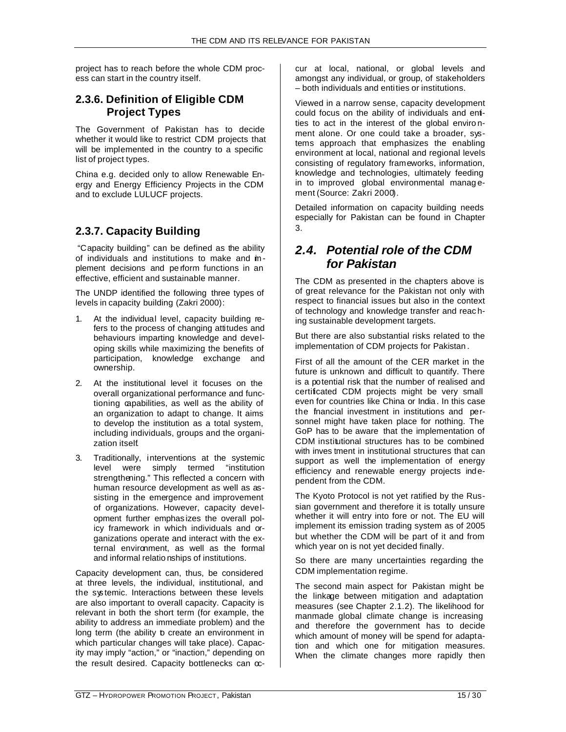project has to reach before the whole CDM process can start in the country itself.

### **2.3.6. Definition of Eligible CDM Project Types**

The Government of Pakistan has to decide whether it would like to restrict CDM projects that will be implemented in the country to a specific list of project types.

China e.g. decided only to allow Renewable Energy and Energy Efficiency Projects in the CDM and to exclude LULUCF projects.

### **2.3.7. Capacity Building**

"Capacity building" can be defined as the ability of individuals and institutions to make and im plement decisions and pe rform functions in an effective, efficient and sustainable manner.

The UNDP identified the following three types of levels in capacity building (Zakri 2000):

- 1. At the individual level, capacity building refers to the process of changing attitudes and behaviours imparting knowledge and developing skills while maximizing the benefits of participation, knowledge exchange and ownership.
- 2. At the institutional level it focuses on the overall organizational performance and functioning capabilities, as well as the ability of an organization to adapt to change. It aims to develop the institution as a total system, including individuals, groups and the organization itself.
- 3. Traditionally, interventions at the systemic level were simply termed "institution strengthening." This reflected a concern with human resource development as well as assisting in the emergence and improvement of organizations. However, capacity development further emphas izes the overall policy framework in which individuals and organizations operate and interact with the external environment, as well as the formal and informal relatio nships of institutions.

Capacity development can, thus, be considered at three levels, the individual, institutional, and the sys temic. Interactions between these levels are also important to overall capacity. Capacity is relevant in both the short term (for example, the ability to address an immediate problem) and the long term (the ability b create an environment in which particular changes will take place). Capacity may imply "action," or "inaction," depending on the result desired. Capacity bottlenecks can  $\infty$ -

cur at local, national, or global levels and amongst any individual, or group, of stakeholders – both individuals and entities or institutions.

Viewed in a narrow sense, capacity development could focus on the ability of individuals and entities to act in the interest of the global enviro nment alone. Or one could take a broader, systems approach that emphasizes the enabling environment at local, national and regional levels consisting of regulatory frameworks, information, knowledge and technologies, ultimately feeding in to improved global environmental manag ement (Source: Zakri 2000).

Detailed information on capacity building needs especially for Pakistan can be found in Chapter 3.

### *2.4. Potential role of the CDM for Pakistan*

The CDM as presented in the chapters above is of great relevance for the Pakistan not only with respect to financial issues but also in the context of technology and knowledge transfer and reac hing sustainable development targets.

But there are also substantial risks related to the implementation of CDM projects for Pakistan .

First of all the amount of the CER market in the future is unknown and difficult to quantify. There is a potential risk that the number of realised and certificated CDM projects might be very small even for countries like China or India. In this case the financial investment in institutions and personnel might have taken place for nothing. The GoP has to be aware that the implementation of CDM institutional structures has to be combined with inves tment in institutional structures that can support as well the implementation of energy efficiency and renewable energy projects independent from the CDM.

The Kyoto Protocol is not yet ratified by the Russian government and therefore it is totally unsure whether it will entry into fore or not. The EU will implement its emission trading system as of 2005 but whether the CDM will be part of it and from which year on is not yet decided finally.

So there are many uncertainties regarding the CDM implementation regime.

The second main aspect for Pakistan might be the linkage between mitigation and adaptation measures (see Chapter 2.1.2). The likelihood for manmade global climate change is increasing and therefore the government has to decide which amount of money will be spend for adaptation and which one for mitigation measures. When the climate changes more rapidly then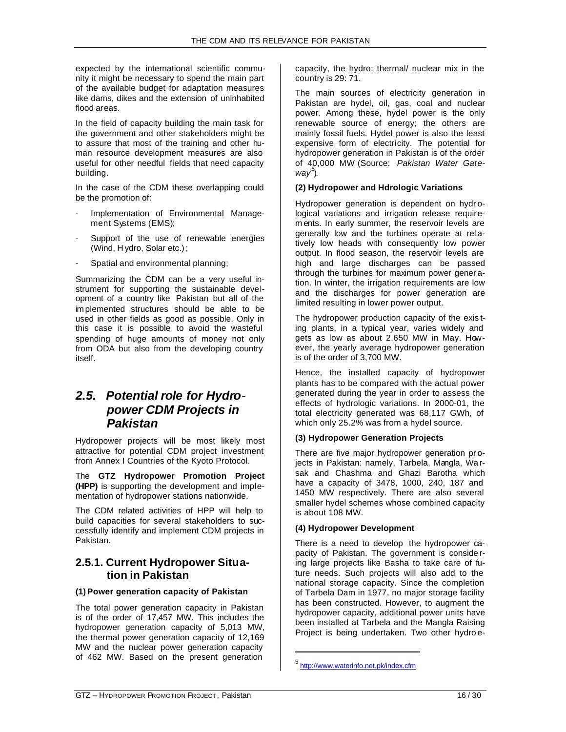expected by the international scientific community it might be necessary to spend the main part of the available budget for adaptation measures like dams, dikes and the extension of uninhabited flood areas.

In the field of capacity building the main task for the government and other stakeholders might be to assure that most of the training and other human resource development measures are also useful for other needful fields that need capacity building.

In the case of the CDM these overlapping could be the promotion of:

- Implementation of Environmental Management Systems (EMS);
- Support of the use of renewable energies (Wind, H ydro, Solar etc.);
- Spatial and environmental planning;

Summarizing the CDM can be a very useful instrument for supporting the sustainable development of a country like Pakistan but all of the im plemented structures should be able to be used in other fields as good as possible. Only in this case it is possible to avoid the wasteful spending of huge amounts of money not only from ODA but also from the developing country itself.

### *2.5. Potential role for Hydropower CDM Projects in Pakistan*

Hydropower projects will be most likely most attractive for potential CDM project investment from Annex I Countries of the Kyoto Protocol.

The **GTZ Hydropower Promotion Project (HPP)** is supporting the development and implementation of hydropower stations nationwide.

The CDM related activities of HPP will help to build capacities for several stakeholders to successfully identify and implement CDM projects in Pakistan.

### **2.5.1. Current Hydropower Situation in Pakistan**

#### **(1) Power generation capacity of Pakistan**

The total power generation capacity in Pakistan is of the order of 17,457 MW. This includes the hydropower generation capacity of 5,013 MW, the thermal power generation capacity of 12,169 MW and the nuclear power generation capacity of 462 MW. Based on the present generation

capacity, the hydro: thermal/ nuclear mix in the country is 29: 71.

The main sources of electricity generation in Pakistan are hydel, oil, gas, coal and nuclear power. Among these, hydel power is the only renewable source of energy; the others are mainly fossil fuels. Hydel power is also the least expensive form of electricity. The potential for hydropower generation in Pakistan is of the order of 40,000 MW (Source: *Pakistan Water Gateway 5* ).

#### **(2) Hydropower and Hdrologic Variations**

Hydropower generation is dependent on hydr ological variations and irrigation release requirem ents. In early summer, the reservoir levels are generally low and the turbines operate at rel atively low heads with consequently low power output. In flood season, the reservoir levels are high and large discharges can be passed through the turbines for maximum power gener ation. In winter, the irrigation requirements are low and the discharges for power generation are limited resulting in lower power output.

The hydropower production capacity of the exis ting plants, in a typical year, varies widely and gets as low as about 2,650 MW in May. However, the yearly average hydropower generation is of the order of 3,700 MW.

Hence, the installed capacity of hydropower plants has to be compared with the actual power generated during the year in order to assess the effects of hydrologic variations. In 2000-01, the total electricity generated was 68,117 GWh, of which only 25.2% was from a hydel source.

#### **(3) Hydropower Generation Projects**

There are five major hydropower generation pr ojects in Pakistan: namely, Tarbela, Mangla, Warsak and Chashma and Ghazi Barotha which have a capacity of 3478, 1000, 240, 187 and 1450 MW respectively. There are also several smaller hydel schemes whose combined capacity is about 108 MW.

#### **(4) Hydropower Development**

There is a need to develop the hydropower capacity of Pakistan. The government is conside ring large projects like Basha to take care of future needs. Such projects will also add to the national storage capacity. Since the completion of Tarbela Dam in 1977, no major storage facility has been constructed. However, to augment the hydropower capacity, additional power units have been installed at Tarbela and the Mangla Raising Project is being undertaken. Two other hydro e-

<sup>5</sup> http://www.waterinfo.net.pk/index.cfm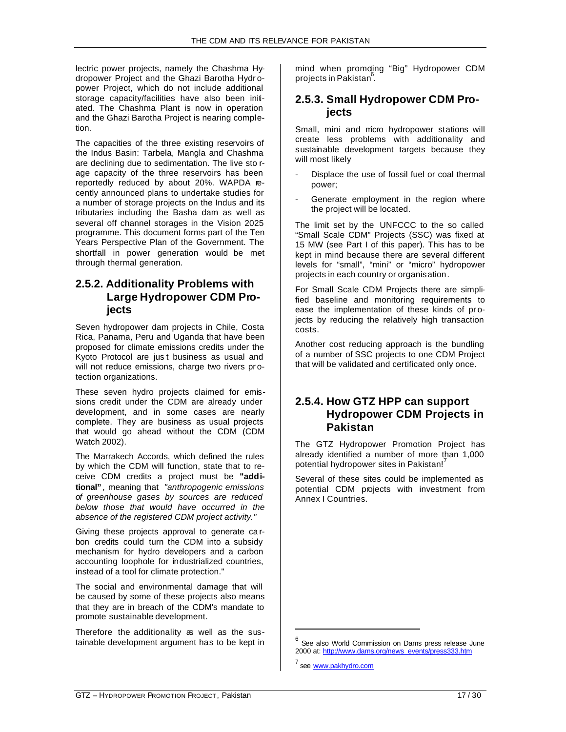lectric power projects, namely the Chashma Hydropower Project and the Ghazi Barotha Hydr opower Project, which do not include additional storage capacity/facilities have also been initated. The Chashma Plant is now in operation and the Ghazi Barotha Project is nearing completion.

The capacities of the three existing reservoirs of the Indus Basin: Tarbela, Mangla and Chashma are declining due to sedimentation. The live sto rage capacity of the three reservoirs has been reportedly reduced by about 20%. WAPDA recently announced plans to undertake studies for a number of storage projects on the Indus and its tributaries including the Basha dam as well as several off channel storages in the Vision 2025 programme. This document forms part of the Ten Years Perspective Plan of the Government. The shortfall in power generation would be met through thermal generation.

### **2.5.2. Additionality Problems with Large Hydropower CDM Projects**

Seven hydropower dam projects in Chile, Costa Rica, Panama, Peru and Uganda that have been proposed for climate emissions credits under the Kyoto Protocol are jus t business as usual and will not reduce emissions, charge two rivers pr otection organizations.

These seven hydro projects claimed for emissions credit under the CDM are already under development, and in some cases are nearly complete. They are business as usual projects that would go ahead without the CDM (CDM Watch 2002).

The Marrakech Accords, which defined the rules by which the CDM will function, state that to receive CDM credits a project must be **"additional"** , meaning that *"anthropogenic emissions of greenhouse gases by sources are reduced below those that would have occurred in the absence of the registered CDM project activity."*

Giving these projects approval to generate ca rbon credits could turn the CDM into a subsidy mechanism for hydro developers and a carbon accounting loophole for industrialized countries, instead of a tool for climate protection."

The social and environmental damage that will be caused by some of these projects also means that they are in breach of the CDM's mandate to promote sustainable development.

Therefore the additionality as well as the sustainable development argument has to be kept in mind when promoting "Big" Hydropower CDM projects in Pakistan<sup>6</sup>.

### **2.5.3. Small Hydropower CDM Projects**

Small, mini and mcro hydropower stations will create less problems with additionality and sustainable development targets because they will most likely

- Displace the use of fossil fuel or coal thermal power;
- Generate employment in the region where the project will be located.

The limit set by the UNFCCC to the so called "Small Scale CDM" Projects (SSC) was fixed at 15 MW (see Part I of this paper). This has to be kept in mind because there are several different levels for "small", "mini" or "micro" hydropower projects in each country or organisation.

For Small Scale CDM Projects there are simplified baseline and monitoring requirements to ease the implementation of these kinds of pr ojects by reducing the relatively high transaction costs.

Another cost reducing approach is the bundling of a number of SSC projects to one CDM Project that will be validated and certificated only once.

### **2.5.4. How GTZ HPP can support Hydropower CDM Projects in Pakistan**

The GTZ Hydropower Promotion Project has already identified a number of more than 1,000 potential hydropower sites in Pakistan!

Several of these sites could be implemented as potential CDM projects with investment from Annex I Countries.

<sup>6</sup> See also World Commission on Dams press release June 2000 at: http://www.dams.org/news\_events/press333.htm

<sup>&</sup>lt;sup>7</sup> see www.pakhydro.com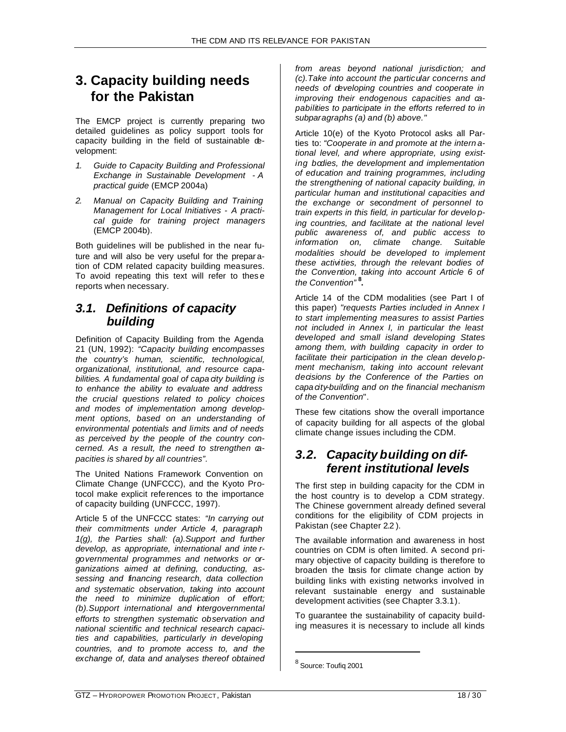# **3. Capacity building needs for the Pakistan**

The EMCP project is currently preparing two detailed guidelines as policy support tools for capacity building in the field of sustainable development:

- *1. Guide to Capacity Building and Professional Exchange in Sustainable Development - A practical guide* (EMCP 2004a)
- *2. Manual on Capacity Building and Training Management for Local Initiatives - A practical guide for training project managers* (EMCP 2004b).

Both guidelines will be published in the near future and will also be very useful for the prepar ation of CDM related capacity building measures. To avoid repeating this text will refer to thes e reports when necessary.

### *3.1. Definitions of capacity building*

Definition of Capacity Building from the Agenda 21 (UN, 1992): *"Capacity building encompasses the country's human, scientific, technological, organizational, institutional, and resource capabilities. A fundamental goal of capa city building is to enhance the ability to evaluate and address the crucial questions related to policy choices and modes of implementation among development options, based on an understanding of environmental potentials and limits and of needs as perceived by the people of the country concerned. As a result, the need to strengthen capacities is shared by all countries".*

The United Nations Framework Convention on Climate Change (UNFCCC), and the Kyoto Protocol make explicit references to the importance of capacity building (UNFCCC, 1997).

Article 5 of the UNFCCC states: *"In carrying out their commitments under Article 4, paragraph 1(g), the Parties shall: (a).Support and further develop, as appropriate, international and inte rgovernmental programmes and networks or organizations aimed at defining, conducting, assessing and financing research, data collection and systematic observation, taking into account the need to minimize duplication of effort; (b).Support international and intergovernmental efforts to strengthen systematic observation and national scientific and technical research capacities and capabilities, particularly in developing countries, and to promote access to, and the exchange of, data and analyses thereof obtained*  *from areas beyond national jurisdiction; and (c).Take into account the particular concerns and needs of developing countries and cooperate in improving their endogenous capacities and capabilities to participate in the efforts referred to in subparagraphs (a) and (b) above."*

Article 10(e) of the Kyoto Protocol asks all Parties to: *"Cooperate in and promote at the intern ational level, and where appropriate, using existing bodies, the development and implementation of education and training programmes, including the strengthening of national capacity building, in particular human and institutional capacities and the exchange or secondment of personnel to train experts in this field, in particular for develo ping countries, and facilitate at the national level public awareness of, and public access to information on, climate change. Suitable modalities should be developed to implement these activities, through the relevant bodies of the Convention, taking into account Article 6 of the Convention"* **<sup>8</sup> .**

Article 14 of the CDM modalities (see Part I of this paper) *"requests Parties included in Annex I to start implementing measures to assist Parties not included in Annex I, in particular the least developed and small island developing States among them, with building capacity in order to facilitate their participation in the clean develo pment mechanism, taking into account relevant decisions by the Conference of the Parties on capa city-building and on the financial mechanism of the Convention*".

These few citations show the overall importance of capacity building for all aspects of the global climate change issues including the CDM.

### *3.2. Capacity building on different institutional levels*

The first step in building capacity for the CDM in the host country is to develop a CDM strategy. The Chinese government already defined several conditions for the eligibility of CDM projects in Pakistan (see Chapter 2.2 ).

The available information and awareness in host countries on CDM is often limited. A second primary objective of capacity building is therefore to broaden the basis for climate change action by building links with existing networks involved in relevant sustainable energy and sustainable development activities (see Chapter 3.3.1).

To guarantee the sustainability of capacity building measures it is necessary to include all kinds

<sup>&</sup>lt;sup>8</sup> Source: Toufiq 2001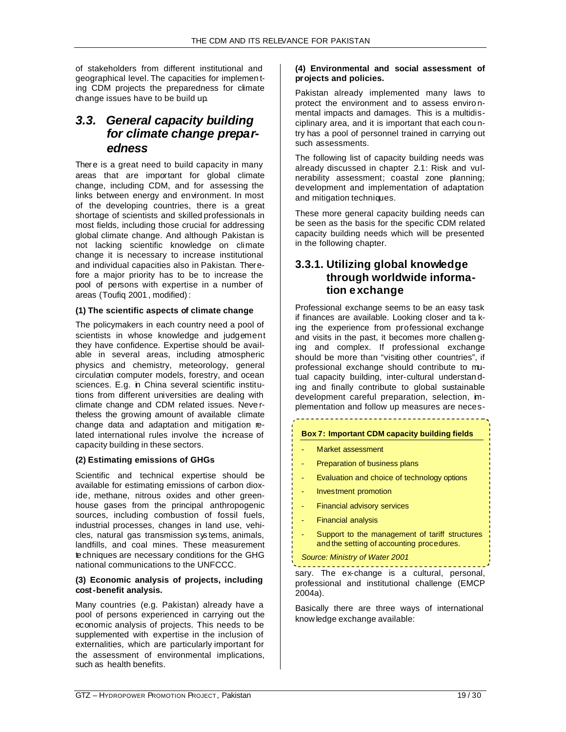of stakeholders from different institutional and geographical level. The capacities for implemen ting CDM projects the preparedness for climate change issues have to be build up.

### *3.3. General capacity building for climate change preparedness*

There is a great need to build capacity in many areas that are important for global climate change, including CDM, and for assessing the links between energy and environment. In most of the developing countries, there is a great shortage of scientists and skilled professionals in most fields, including those crucial for addressing global climate change. And although Pakistan is not lacking scientific knowledge on climate change it is necessary to increase institutional and individual capacities also in Pakistan. Therefore a major priority has to be to increase the pool of persons with expertise in a number of areas (Toufiq 2001 , modified):

#### **(1) The scientific aspects of climate change**

The policymakers in each country need a pool of scientists in whose knowledge and judgement they have confidence. Expertise should be available in several areas, including atmospheric physics and chemistry, meteorology, general circulation computer models, forestry, and ocean sciences. E.g. in China several scientific institutions from different universities are dealing with climate change and CDM related issues. Neve rtheless the growing amount of available climate change data and adaptation and mitigation related international rules involve the increase of capacity building in these sectors.

#### **(2) Estimating emissions of GHGs**

Scientific and technical expertise should be available for estimating emissions of carbon dioxide, methane, nitrous oxides and other greenhouse gases from the principal anthropogenic sources, including combustion of fossil fuels, industrial processes, changes in land use, vehicles, natural gas transmission sys tems, animals, landfills, and coal mines. These measurement techniques are necessary conditions for the GHG national communications to the UNFCCC.

#### **(3) Economic analysis of projects, including cost-benefit analysis.**

Many countries (e.g. Pakistan) already have a pool of persons experienced in carrying out the economic analysis of projects. This needs to be supplemented with expertise in the inclusion of externalities, which are particularly important for the assessment of environmental implications, such as health benefits.

#### **(4) Environmental and social assessment of projects and policies.**

Pakistan already implemented many laws to protect the environment and to assess enviro nmental impacts and damages. This is a multidisciplinary area, and it is important that each cou ntry has a pool of personnel trained in carrying out such assessments.

The following list of capacity building needs was already discussed in chapter 2.1: Risk and vulnerability assessment; coastal zone planning; development and implementation of adaptation and mitigation techniques.

These more general capacity building needs can be seen as the basis for the specific CDM related capacity building needs which will be presented in the following chapter.

### **3.3.1. Utilizing global knowledge through worldwide information exchange**

Professional exchange seems to be an easy task if finances are available. Looking closer and ta king the experience from professional exchange and visits in the past, it becomes more challen ging and complex. If professional exchange should be more than "visiting other countries", if professional exchange should contribute to mutual capacity building, inter-cultural understan ding and finally contribute to global sustainable development careful preparation, selection, implementation and follow up measures are neces-

#### **Box 7: Important CDM capacity building fields**

- Market assessment
- Preparation of business plans
- Evaluation and choice of technology options
- Investment promotion
- Financial advisory services
- **Financial analysis**
- Support to the management of tariff structures and the setting of accounting procedures.

#### *Source: Ministry of Water 2001*

sary. The ex-change is a cultural, personal, professional and institutional challenge (EMCP 2004a).

Basically there are three ways of international know ledge exchange available: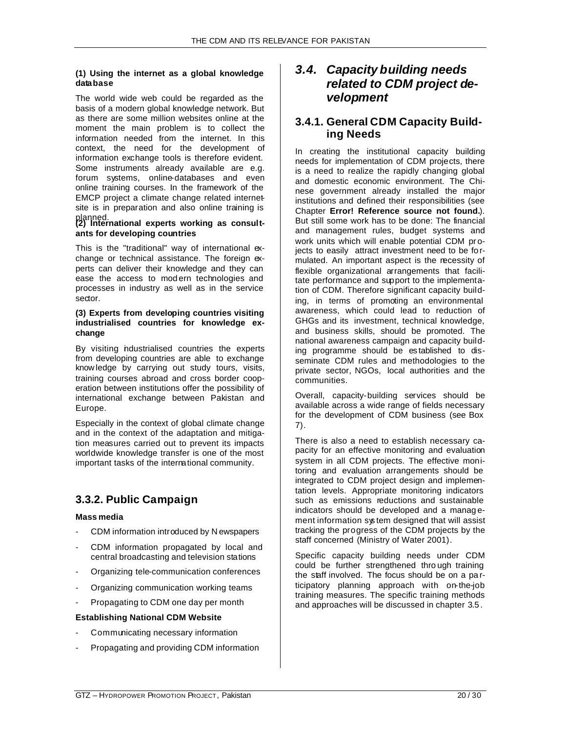#### **(1) Using the internet as a global knowledge database**

The world wide web could be regarded as the basis of a modern global knowledge network. But as there are some million websites online at the moment the main problem is to collect the information needed from the internet. In this context, the need for the development of information exchange tools is therefore evident. Some instruments already available are e.g. forum systems, online-databases and even online training courses. In the framework of the EMCP project a climate change related internetsite is in preparation and also online training is

### planned. **(2) International experts working as consultants for developing countries**

This is the "traditional" way of international exchange or technical assistance. The foreign experts can deliver their knowledge and they can ease the access to mod ern technologies and processes in industry as well as in the service sector.

#### **(3) Experts from developing countries visiting industrialised countries for knowledge exchange**

By visiting industrialised countries the experts from developing countries are able to exchange knowledge by carrying out study tours, visits, training courses abroad and cross border cooperation between institutions offer the possibility of international exchange between Pakistan and Europe.

Especially in the context of global climate change and in the context of the adaptation and mitigation measures carried out to prevent its impacts worldwide knowledge transfer is one of the most important tasks of the international community.

### **3.3.2. Public Campaign**

#### **Mass media**

- CDM information introduced by N ewspapers
- CDM information propagated by local and central broadcasting and television stations
- Organizing tele-communication conferences
- Organizing communication working teams
- Propagating to CDM one day per month

#### **Establishing National CDM Website**

- Communicating necessary information
- Propagating and providing CDM information

### *3.4. Capacity building needs related to CDM project development*

### **3.4.1. General CDM Capacity Building Needs**

In creating the institutional capacity building needs for implementation of CDM projects, there is a need to realize the rapidly changing global and domestic economic environment. The Chinese government already installed the major institutions and defined their responsibilities (see Chapter **Error! Reference source not found.**). But still some work has to be done: The financial and management rules, budget systems and work units which will enable potential CDM pr ojects to easily attract investment need to be fo rmulated. An important aspect is the necessity of flexible organizational arrangements that facilitate performance and support to the implementation of CDM. Therefore significant capacity building, in terms of promoting an environmental awareness, which could lead to reduction of GHGs and its investment, technical knowledge, and business skills, should be promoted. The national awareness campaign and capacity building programme should be es tablished to disseminate CDM rules and methodologies to the private sector, NGOs, local authorities and the communities.

Overall, capacity-building services should be available across a wide range of fields necessary for the development of CDM business (see Box 7).

There is also a need to establish necessary capacity for an effective monitoring and evaluation system in all CDM projects. The effective monitoring and evaluation arrangements should be integrated to CDM project design and implementation levels. Appropriate monitoring indicators such as emissions reductions and sustainable indicators should be developed and a manag ement information system designed that will assist tracking the progress of the CDM projects by the staff concerned (Ministry of Water 2001).

Specific capacity building needs under CDM could be further strengthened thro ugh training the staff involved. The focus should be on a pa rticipatory planning approach with on-the-job training measures. The specific training methods and approaches will be discussed in chapter 3.5.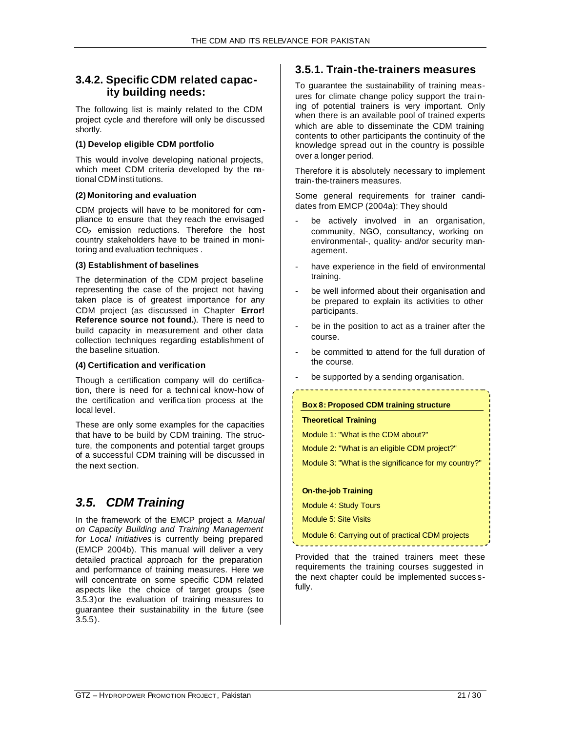### **3.4.2. Specific CDM related capacity building needs:**

The following list is mainly related to the CDM project cycle and therefore will only be discussed shortly.

#### **(1) Develop eligible CDM portfolio**

This would involve developing national projects, which meet CDM criteria developed by the national CDM insti tutions.

#### **(2) Monitoring and evaluation**

CDM projects will have to be monitored for com pliance to ensure that they reach the envisaged CO<sub>2</sub> emission reductions. Therefore the host country stakeholders have to be trained in monitoring and evaluation techniques .

#### **(3) Establishment of baselines**

The determination of the CDM project baseline representing the case of the project not having taken place is of greatest importance for any CDM project (as discussed in Chapter **Error! Reference source not found.**). There is need to build capacity in measurement and other data collection techniques regarding establishment of the baseline situation.

#### **(4) Certification and verification**

Though a certification company will do certification, there is need for a technical know-how of the certification and verifica tion process at the local level.

These are only some examples for the capacities that have to be build by CDM training. The structure, the components and potential target groups of a successful CDM training will be discussed in the next section.

## *3.5. CDM Training*

In the framework of the EMCP project a *Manual on Capacity Building and Training Management for Local Initiatives* is currently being prepared (EMCP 2004b). This manual will deliver a very detailed practical approach for the preparation and performance of training measures. Here we will concentrate on some specific CDM related aspects like the choice of target groups (see 3.5.3)or the evaluation of training measures to guarantee their sustainability in the future (see  $3.5.5$ ).

### **3.5.1. Train-the-trainers measures**

To guarantee the sustainability of training measures for climate change policy support the trai ning of potential trainers is very important. Only when there is an available pool of trained experts which are able to disseminate the CDM training contents to other participants the continuity of the knowledge spread out in the country is possible over a longer period.

Therefore it is absolutely necessary to implement train-the-trainers measures.

Some general requirements for trainer candidates from EMCP (2004a): They should

- be actively involved in an organisation, community, NGO, consultancy, working on environmental-, quality- and/or security management.
- have experience in the field of environmental training.
- be well informed about their organisation and be prepared to explain its activities to other participants.
- be in the position to act as a trainer after the course.
- be committed to attend for the full duration of the course.
- be supported by a sending organisation.

#### **Box 8: Proposed CDM training structure**

#### **Theoretical Training**

Module 1: "What is the CDM about?"

Module 2: "What is an eligible CDM project?"

Module 3: "What is the significance for my country?"

#### **On-the-job Training**

Module 4: Study Tours

Module 5: Site Visits

Module 6: Carrying out of practical CDM projects\_\_\_\_\_\_\_\_\_\_\_\_\_\_\_\_\_\_\_\_\_\_\_\_\_\_\_\_\_\_\_\_\_

Provided that the trained trainers meet these requirements the training courses suggested in the next chapter could be implemented succes sfully.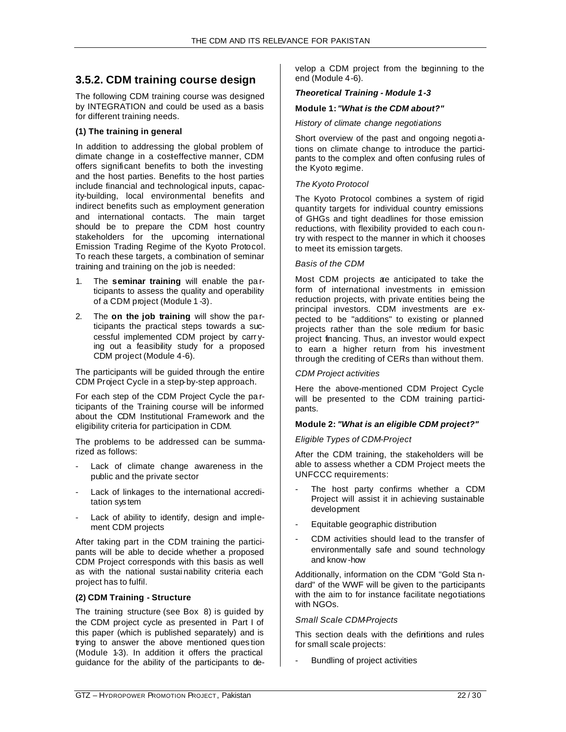### **3.5.2. CDM training course design**

The following CDM training course was designed by INTEGRATION and could be used as a basis for different training needs.

#### **(1) The training in general**

In addition to addressing the global problem of climate change in a costeffective manner, CDM offers significant benefits to both the investing and the host parties. Benefits to the host parties include financial and technological inputs, capacity-building, local environmental benefits and indirect benefits such as employment generation and international contacts. The main target should be to prepare the CDM host country stakeholders for the upcoming international Emission Trading Regime of the Kyoto Protocol. To reach these targets, a combination of seminar training and training on the job is needed:

- 1. The **seminar training** will enable the pa rticipants to assess the quality and operability of a CDM project (Module 1 -3).
- 2. The **on the job training** will show the pa rticipants the practical steps towards a successful implemented CDM project by carr ying out a feasibility study for a proposed CDM project (Module 4-6).

The participants will be guided through the entire CDM Project Cycle in a step-by-step approach.

For each step of the CDM Project Cycle the pa rticipants of the Training course will be informed about the CDM Institutional Framework and the eligibility criteria for participation in CDM.

The problems to be addressed can be summarized as follows:

- Lack of climate change awareness in the public and the private sector
- Lack of linkages to the international accreditation sys tem
- Lack of ability to identify, design and implement CDM projects

After taking part in the CDM training the participants will be able to decide whether a proposed CDM Project corresponds with this basis as well as with the national sustai nability criteria each project has to fulfil.

#### **(2) CDM Training - Structure**

The training structure (see Box 8) is guided by the CDM project cycle as presented in Part I of this paper (which is published separately) and is trying to answer the above mentioned ques tion (Module 1-3). In addition it offers the practical guidance for the ability of the participants to develop a CDM project from the beginning to the end (Module 4-6).

#### *Theoretical Training - Module 1-3*

#### **Module 1:***"What is the CDM about?"*

#### *History of climate change negotiations*

Short overview of the past and ongoing negoti ations on climate change to introduce the participants to the complex and often confusing rules of the Kyoto regime.

#### *The Kyoto Protocol*

The Kyoto Protocol combines a system of rigid quantity targets for individual country emissions of GHGs and tight deadlines for those emission reductions, with flexibility provided to each cou ntry with respect to the manner in which it chooses to meet its emission targets.

#### *Basis of the CDM*

Most CDM projects ae anticipated to take the form of international investments in emission reduction projects, with private entities being the principal investors. CDM investments are expected to be "additions" to existing or planned projects rather than the sole medium for basic project financing. Thus, an investor would expect to earn a higher return from his investment through the crediting of CERs than without them.

#### *CDM Project activities*

Here the above-mentioned CDM Project Cycle will be presented to the CDM training participants.

#### **Module 2:** *"What is an eligible CDM project?"*

#### *Eligible Types of CDM-Project*

After the CDM training, the stakeholders will be able to assess whether a CDM Project meets the UNFCCC requirements:

- The host party confirms whether a CDM Project will assist it in achieving sustainable development
- Equitable geographic distribution
- CDM activities should lead to the transfer of environmentally safe and sound technology and know -how

Additionally, information on the CDM "Gold Sta ndard" of the WWF will be given to the participants with the aim to for instance facilitate negotiations with NGOs.

#### *Small Scale CDM-Projects*

This section deals with the definitions and rules for small scale projects:

Bundling of project activities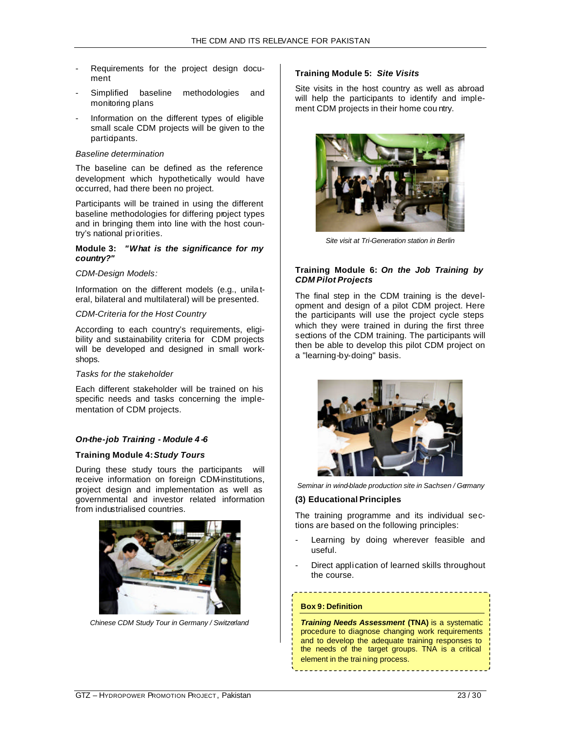- Requirements for the project design document
- Simplified baseline methodologies and monitoring plans
- Information on the different types of eligible small scale CDM projects will be given to the partidpants.

#### *Baseline determination*

The baseline can be defined as the reference development which hypothetically would have occurred, had there been no project.

Participants will be trained in using the different baseline methodologies for differing project types and in bringing them into line with the host country's national priorities.

#### **Module 3:** *"What is the significance for my country?"*

#### *CDM-Design Models:*

Information on the different models (e.g., unila teral, bilateral and multilateral) will be presented.

#### *CDM-Criteria for the Host Country*

According to each country's requirements, eligibility and sustainability criteria for CDM projects will be developed and designed in small workshops.

#### *Tasks for the stakeholder*

Each different stakeholder will be trained on his specific needs and tasks concerning the implementation of CDM projects.

#### *On-the-job Training - Module 4 -6*

#### **Training Module 4:***Study Tours*

During these study tours the participants will receive information on foreign CDM-institutions, project design and implementation as well as governmental and investor related information from industrialised countries.



*Chinese CDM Study Tour in Germany / Switzerland*

#### **Training Module 5:** *Site Visits*

Site visits in the host country as well as abroad will help the participants to identify and implement CDM projects in their home cou ntry.



*Site visit at Tri-Generation station in Berlin*

#### **Training Module 6:** *On the Job Training by CDM Pilot Projects*

The final step in the CDM training is the development and design of a pilot CDM project. Here the participants will use the project cycle steps which they were trained in during the first three sections of the CDM training. The participants will then be able to develop this pilot CDM project on a "learning-by-doing" basis.



*Seminar in wind-blade production site in Sachsen / Germany*

#### **(3) Educational Principles**

The training programme and its individual sections are based on the following principles:

- Learning by doing wherever feasible and useful.
- Direct application of learned skills throughout the course.

### **Box 9: Definition**

*Training Needs Assessment* (TNA) is a systematic procedure to diagnose changing work requirements and to develop the adequate training responses to the needs of the target groups. TNA is a critical element in the trai ning process.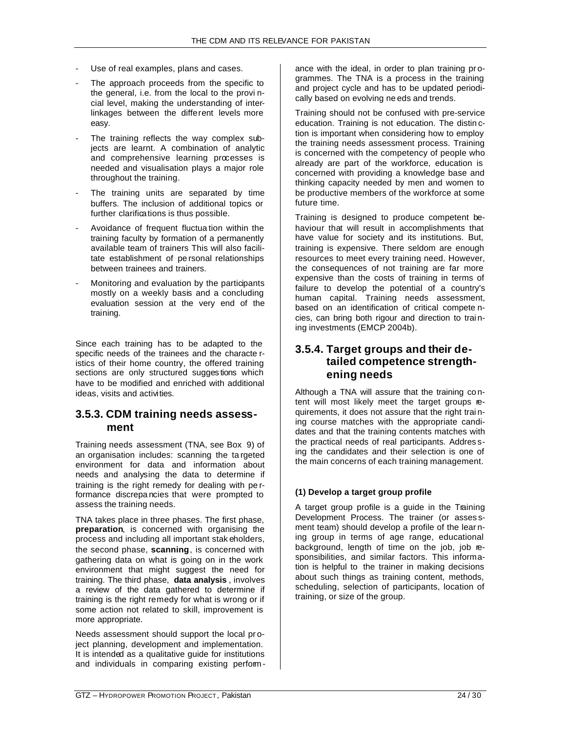- Use of real examples, plans and cases.
- The approach proceeds from the specific to the general, i.e. from the local to the provi ncial level, making the understanding of interlinkages between the different levels more easy.
- The training reflects the way complex subjects are learnt. A combination of analytic and comprehensive learning processes is needed and visualisation plays a major role throughout the training.
- The training units are separated by time buffers. The inclusion of additional topics or further clarifications is thus possible.
- Avoidance of frequent fluctua tion within the training faculty by formation of a permanently available team of trainers This will also facilitate establishment of pe rsonal relationships between trainees and trainers.
- Monitoring and evaluation by the participants mostly on a weekly basis and a concluding evaluation session at the very end of the training.

Since each training has to be adapted to the specific needs of the trainees and the characte ristics of their home country, the offered training sections are only structured suggestions which have to be modified and enriched with additional ideas, visits and activities.

### **3.5.3. CDM training needs assessment**

Training needs assessment (TNA, see Box 9) of an organisation includes: scanning the ta rgeted environment for data and information about needs and analysing the data to determine if training is the right remedy for dealing with pe rformance discrepa ncies that were prompted to assess the training needs.

TNA takes place in three phases. The first phase, **preparation**, is concerned with organising the process and including all important stak eholders, the second phase, **scanning**, is concerned with gathering data on what is going on in the work environment that might suggest the need for training. The third phase, **data analysis** , involves a review of the data gathered to determine if training is the right remedy for what is wrong or if some action not related to skill, improvement is more appropriate.

Needs assessment should support the local pr oject planning, development and implementation. It is intended as a qualitative guide for institutions and individuals in comparing existing perform-

ance with the ideal, in order to plan training pr ogrammes. The TNA is a process in the training and project cycle and has to be updated periodically based on evolving ne eds and trends.

Training should not be confused with pre-service education. Training is not education. The distin ction is important when considering how to employ the training needs assessment process. Training is concerned with the competency of people who already are part of the workforce, education is concerned with providing a knowledge base and thinking capacity needed by men and women to be productive members of the workforce at some future time.

Training is designed to produce competent behaviour that will result in accomplishments that have value for society and its institutions. But, training is expensive. There seldom are enough resources to meet every training need. However, the consequences of not training are far more expensive than the costs of training in terms of failure to develop the potential of a country's human capital. Training needs assessment, based on an identification of critical compete ncies, can bring both rigour and direction to trai ning investments (EMCP 2004b).

### **3.5.4. Target groups and their detailed competence strengthening needs**

Although a TNA will assure that the training co ntent will most likely meet the target groups requirements, it does not assure that the right trai ning course matches with the appropriate candidates and that the training contents matches with the practical needs of real participants. Addres sing the candidates and their selection is one of the main concerns of each training management.

#### **(1) Develop a target group profile**

A target group profile is a guide in the Training Development Process. The trainer (or asses sment team) should develop a profile of the lear ning group in terms of age range, educational background, length of time on the job, job responsibilities, and similar factors. This information is helpful to the trainer in making decisions about such things as training content, methods, scheduling, selection of participants, location of training, or size of the group.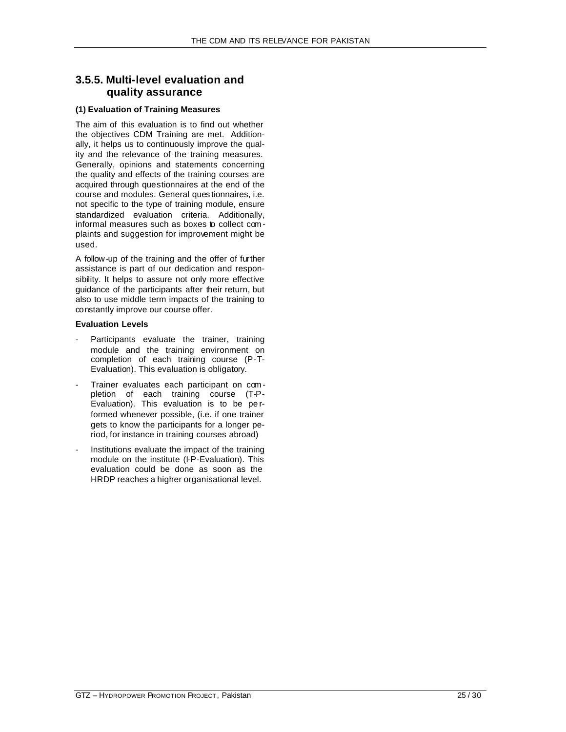### **3.5.5. Multi-level evaluation and quality assurance**

#### **(1) Evaluation of Training Measures**

The aim of this evaluation is to find out whether the objectives CDM Training are met. Additionally, it helps us to continuously improve the quality and the relevance of the training measures. Generally, opinions and statements concerning the quality and effects of the training courses are acquired through questionnaires at the end of the course and modules. General ques tionnaires, i.e. not specific to the type of training module, ensure standardized evaluation criteria. Additionally, informal measures such as boxes to collect com plaints and suggestion for improvement might be used.

A follow-up of the training and the offer of further assistance is part of our dedication and responsibility. It helps to assure not only more effective guidance of the participants after their return, but also to use middle term impacts of the training to constantly improve our course offer.

#### **Evaluation Levels**

- Participants evaluate the trainer, training module and the training environment on completion of each training course (P-T-Evaluation). This evaluation is obligatory.
- Trainer evaluates each participant on completion of each training course (T-P-Evaluation). This evaluation is to be pe rformed whenever possible, (i.e. if one trainer gets to know the participants for a longer period, for instance in training courses abroad)
- Institutions evaluate the impact of the training module on the institute (I-P-Evaluation). This evaluation could be done as soon as the HRDP reaches a higher organisational level.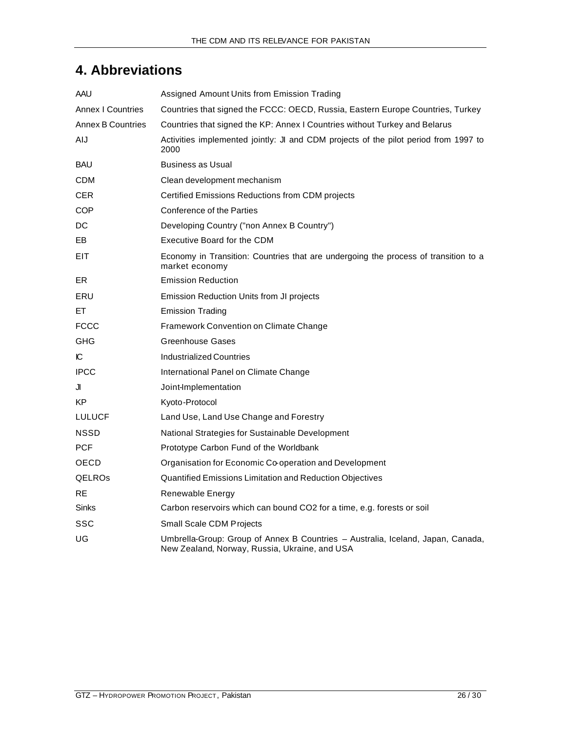# **4. Abbreviations**

| AAU                      | Assigned Amount Units from Emission Trading                                                                                      |
|--------------------------|----------------------------------------------------------------------------------------------------------------------------------|
| <b>Annex I Countries</b> | Countries that signed the FCCC: OECD, Russia, Eastern Europe Countries, Turkey                                                   |
| <b>Annex B Countries</b> | Countries that signed the KP: Annex I Countries without Turkey and Belarus                                                       |
| AIJ                      | Activities implemented jointly: JI and CDM projects of the pilot period from 1997 to<br>2000                                     |
| <b>BAU</b>               | <b>Business as Usual</b>                                                                                                         |
| <b>CDM</b>               | Clean development mechanism                                                                                                      |
| <b>CER</b>               | Certified Emissions Reductions from CDM projects                                                                                 |
| <b>COP</b>               | Conference of the Parties                                                                                                        |
| DC.                      | Developing Country ("non Annex B Country")                                                                                       |
| EB                       | Executive Board for the CDM                                                                                                      |
| <b>EIT</b>               | Economy in Transition: Countries that are undergoing the process of transition to a<br>market economy                            |
| ER                       | <b>Emission Reduction</b>                                                                                                        |
| ERU                      | Emission Reduction Units from JI projects                                                                                        |
| ET                       | <b>Emission Trading</b>                                                                                                          |
| <b>FCCC</b>              | Framework Convention on Climate Change                                                                                           |
| <b>GHG</b>               | Greenhouse Gases                                                                                                                 |
| IC                       | Industrialized Countries                                                                                                         |
| <b>IPCC</b>              | International Panel on Climate Change                                                                                            |
| JI                       | Joint-Implementation                                                                                                             |
| KP                       | Kyoto-Protocol                                                                                                                   |
| <b>LULUCF</b>            | Land Use, Land Use Change and Forestry                                                                                           |
| <b>NSSD</b>              | National Strategies for Sustainable Development                                                                                  |
| <b>PCF</b>               | Prototype Carbon Fund of the Worldbank                                                                                           |
| OECD                     | Organisation for Economic Co-operation and Development                                                                           |
| QELROS                   | Quantified Emissions Limitation and Reduction Objectives                                                                         |
| <b>RE</b>                | Renewable Energy                                                                                                                 |
| <b>Sinks</b>             | Carbon reservoirs which can bound CO2 for a time, e.g. forests or soil                                                           |
| <b>SSC</b>               | Small Scale CDM Projects                                                                                                         |
| UG                       | Umbrella-Group: Group of Annex B Countries - Australia, Iceland, Japan, Canada,<br>New Zealand, Norway, Russia, Ukraine, and USA |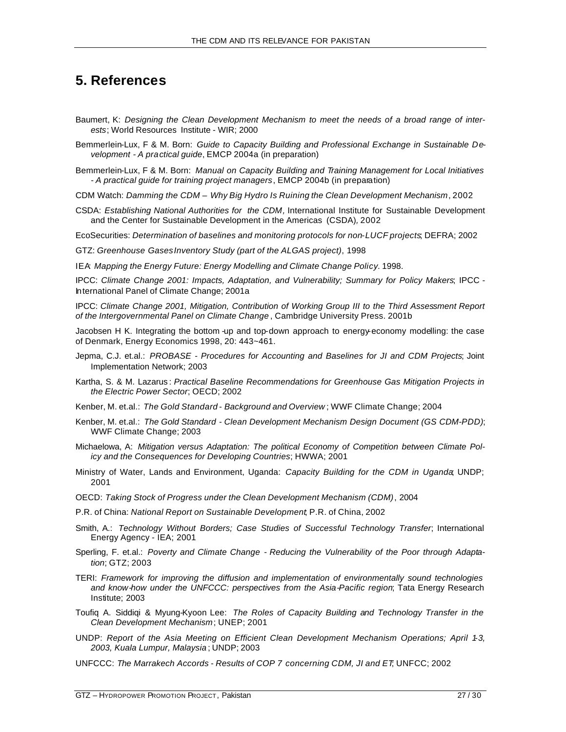### **5. References**

- Baumert, K: *Designing the Clean Development Mechanism to meet the needs of a broad range of interests*; World Resources Institute - WIR; 2000
- Bemmerlein-Lux, F & M. Born: *Guide to Capacity Building and Professional Exchange in Sustainable Development - A practical guide*, EMCP 2004a (in preparation)
- Bemmerlein-Lux, F & M. Born: *Manual on Capacity Building and Training Management for Local Initiatives - A practical guide for training project managers*, EMCP 2004b (in preparation)
- CDM Watch: *Damming the CDM Why Big Hydro Is Ruining the Clean Development Mechanism*, 2002
- CSDA: *Establishing National Authorities for the CDM,* International Institute for Sustainable Development and the Center for Sustainable Development in the Americas (CSDA)*,* 2002

EcoSecurities: *Determination of baselines and monitoring protocols for non-LUCF projects*; DEFRA; 2002

GTZ: *Greenhouse Gases Inventory Study (part of the ALGAS project)*, 1998

IEA: *Mapping the Energy Future: Energy Modelling and Climate Change Policy*. 1998.

IPCC: *Climate Change 2001: Impacts, Adaptation, and Vulnerability; Summary for Policy Makers*; IPCC - International Panel of Climate Change; 2001a

IPCC: *Climate Change 2001, Mitigation, Contribution of Working Group III to the Third Assessment Report of the Intergovernmental Panel on Climate Change* , Cambridge University Press. 2001b

- Jacobsen H K. Integrating the bottom -up and top-down approach to energy-economy modelling: the case of Denmark, Energy Economics 1998, 20: 443~461.
- Jepma, C.J. et.al.: *PROBASE Procedures for Accounting and Baselines for JI and CDM Projects*; Joint Implementation Network; 2003
- Kartha, S. & M. Lazarus : *Practical Baseline Recommendations for Greenhouse Gas Mitigation Projects in the Electric Power Sector*; OECD; 2002
- Kenber, M. et.al.: *The Gold Standard Background and Overview* ; WWF Climate Change; 2004
- Kenber, M. et.al.: *The Gold Standard Clean Development Mechanism Design Document (GS CDM-PDD)*; WWF Climate Change; 2003
- Michaelowa, A: *Mitigation versus Adaptation: The political Economy of Competition between Climate Policy and the Consequences for Developing Countries*; HWWA; 2001
- Ministry of Water, Lands and Environment, Uganda: *Capacity Building for the CDM in Uganda*; UNDP; 2001
- OECD: *Taking Stock of Progress under the Clean Development Mechanism (CDM)*, 2004
- P.R. of China: *National Report on Sustainable Development*; P.R. of China, 2002
- Smith, A.: *Technology Without Borders; Case Studies of Successful Technology Transfer*; International Energy Agency - IEA; 2001
- Sperling, F. et.al.: *Poverty and Climate Change Reducing the Vulnerability of the Poor through Adaptation*; GTZ; 2003
- TERI: *Framework for improving the diffusion and implementation of environmentally sound technologies and know-how under the UNFCCC: perspectives from the Asia-Pacific region*; Tata Energy Research Institute; 2003
- Toufiq A. Siddiqi & Myung-Kyoon Lee: *The Roles of Capacity Building and Technology Transfer in the Clean Development Mechanism*; UNEP; 2001
- UNDP: *Report of the Asia Meeting on Efficient Clean Development Mechanism Operations; April 1-3, 2003, Kuala Lumpur, Malaysia* ; UNDP; 2003
- UNFCCC: *The Marrakech Accords Results of COP 7 concerning CDM, JI and ET*; UNFCC; 2002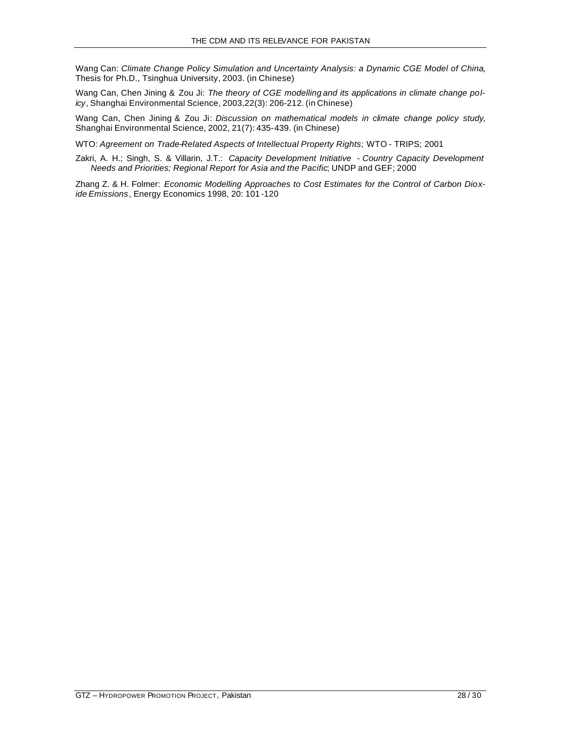Wang Can: *Climate Change Policy Simulation and Uncertainty Analysis: a Dynamic CGE Model of China*, Thesis for Ph.D., Tsinghua University, 2003. (in Chinese)

Wang Can, Chen Jining & Zou Ji: *The theory of CGE modelling and its applications in climate change policy*, Shanghai Environmental Science, 2003,22(3): 206-212. (in Chinese)

Wang Can, Chen Jining & Zou Ji: *Discussion on mathematical models in climate change policy study*, Shanghai Environmental Science, 2002, 21(7): 435-439. (in Chinese)

WTO: *Agreement on Trade-Related Aspects of Intellectual Property Rights*; WTO - TRIPS; 2001

Zakri, A. H.; Singh, S. & Villarin, J.T.: *Capacity Development Initiative - Country Capacity Development Needs and Priorities; Regional Report for Asia and the Pacific*; UNDP and GEF; 2000

Zhang Z. & H. Folmer: *Economic Modelling Approaches to Cost Estimates for the Control of Carbon Dioxide Emissions*, Energy Economics 1998, 20: 101 -120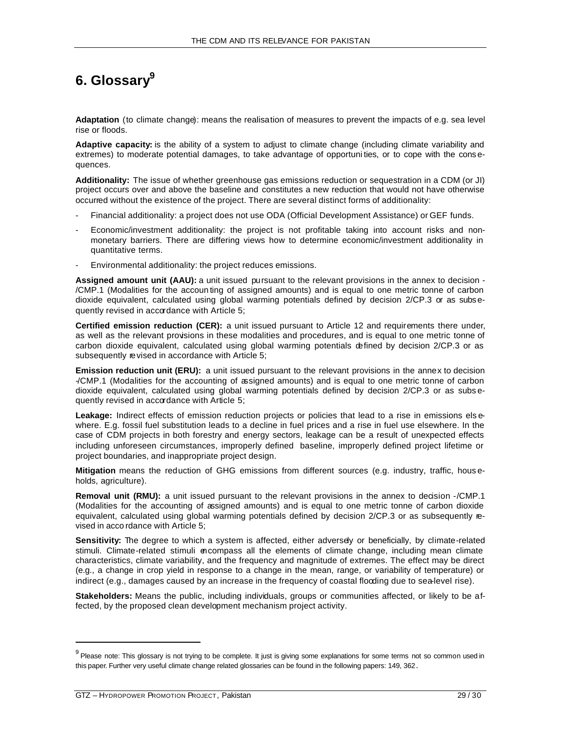# **6. Glossary<sup>9</sup>**

**Adaptation** (to climate change): means the realisation of measures to prevent the impacts of e.g. sea level rise or floods.

**Adaptive capacity:** is the ability of a system to adjust to climate change (including climate variability and extremes) to moderate potential damages, to take advantage of opportuni ties, or to cope with the cons equences.

**Additionality:** The issue of whether greenhouse gas emissions reduction or sequestration in a CDM (or JI) project occurs over and above the baseline and constitutes a new reduction that would not have otherwise occurred without the existence of the project. There are several distinct forms of additionality:

- Financial additionality: a project does not use ODA (Official Development Assistance) or GEF funds.
- Economic/investment additionality: the project is not profitable taking into account risks and nonmonetary barriers. There are differing views how to determine economic/investment additionality in quantitative terms.
- Environmental additionality: the project reduces emissions.

**Assigned amount unit (AAU):** a unit issued pursuant to the relevant provisions in the annex to decision - /CMP.1 (Modalities for the accoun ting of assigned amounts) and is equal to one metric tonne of carbon dioxide equivalent, calculated using global warming potentials defined by decision 2/CP.3 or as subsequently revised in accordance with Article 5;

**Certified emission reduction (CER):** a unit issued pursuant to Article 12 and requirements there under, as well as the relevant provisions in these modalities and procedures, and is equal to one metric tonne of carbon dioxide equivalent, calculated using global warming potentials defined by decision 2/CP.3 or as subsequently revised in accordance with Article 5;

**Emission reduction unit (ERU):** a unit issued pursuant to the relevant provisions in the annex to decision -/CMP.1 (Modalities for the accounting of assigned amounts) and is equal to one metric tonne of carbon dioxide equivalent, calculated using global warming potentials defined by decision 2/CP.3 or as subs equently revised in accordance with Article 5;

**Leakage:** Indirect effects of emission reduction projects or policies that lead to a rise in emissions els ewhere. E.g. fossil fuel substitution leads to a decline in fuel prices and a rise in fuel use elsewhere. In the case of CDM projects in both forestry and energy sectors, leakage can be a result of unexpected effects including unforeseen circumstances, improperly defined baseline, improperly defined project lifetime or project boundaries, and inappropriate project design.

**Mitigation** means the reduction of GHG emissions from different sources (e.g. industry, traffic, hous eholds, agriculture).

**Removal unit (RMU):** a unit issued pursuant to the relevant provisions in the annex to decision -/CMP.1 (Modalities for the accounting of assigned amounts) and is equal to one metric tonne of carbon dioxide equivalent, calculated using global warming potentials defined by decision 2/CP.3 or as subsequently revised in acco rdance with Article 5;

**Sensitivity:** The degree to which a system is affected, either adversely or beneficially, by climate-related stimuli. Climate-related stimuli encompass all the elements of climate change, including mean climate characteristics, climate variability, and the frequency and magnitude of extremes. The effect may be direct (e.g., a change in crop yield in response to a change in the mean, range, or variability of temperature) or indirect (e.g., damages caused by an increase in the frequency of coastal flooding due to sea-level rise).

**Stakeholders:** Means the public, including individuals, groups or communities affected, or likely to be affected, by the proposed clean development mechanism project activity.

 $^9$  Please note: This glossary is not trying to be complete. It just is giving some explanations for some terms not so common used in this paper. Further very useful climate change related glossaries can be found in the following papers: 149, 362.